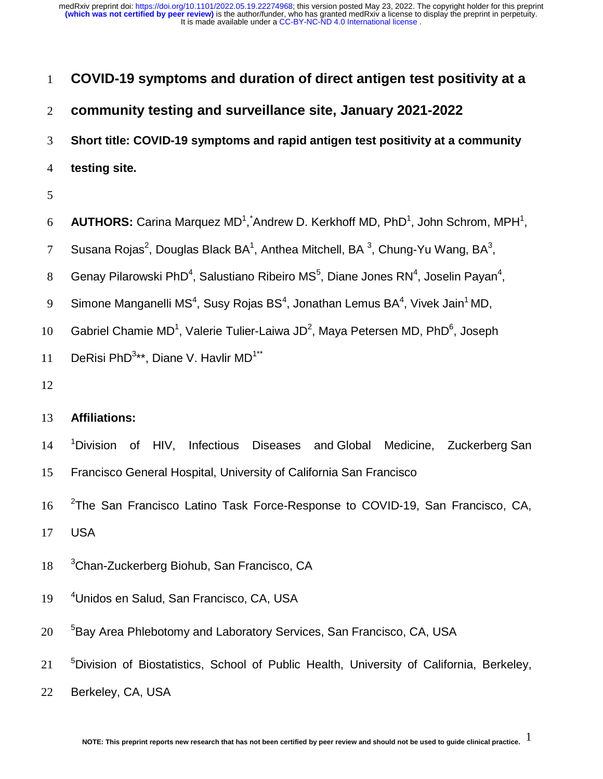| $\mathbf{1}$   | COVID-19 symptoms and duration of direct antigen test positivity at a                                                               |
|----------------|-------------------------------------------------------------------------------------------------------------------------------------|
| $\overline{2}$ | community testing and surveillance site, January 2021-2022                                                                          |
| 3              | Short title: COVID-19 symptoms and rapid antigen test positivity at a community                                                     |
| $\overline{4}$ | testing site.                                                                                                                       |
| 5              |                                                                                                                                     |
| 6              | AUTHORS: Carina Marquez MD <sup>1</sup> , Andrew D. Kerkhoff MD, PhD <sup>1</sup> , John Schrom, MPH <sup>1</sup> ,                 |
| $\tau$         | Susana Rojas <sup>2</sup> , Douglas Black BA <sup>1</sup> , Anthea Mitchell, BA <sup>3</sup> , Chung-Yu Wang, BA <sup>3</sup> ,     |
| 8              | Genay Pilarowski PhD <sup>4</sup> , Salustiano Ribeiro MS <sup>5</sup> , Diane Jones RN <sup>4</sup> , Joselin Payan <sup>4</sup> , |
| 9              | Simone Manganelli MS <sup>4</sup> , Susy Rojas BS <sup>4</sup> , Jonathan Lemus BA <sup>4</sup> , Vivek Jain <sup>1</sup> MD,       |
| 10             | Gabriel Chamie MD <sup>1</sup> , Valerie Tulier-Laiwa JD <sup>2</sup> , Maya Petersen MD, PhD <sup>6</sup> , Joseph                 |
| 11             | DeRisi PhD <sup>3**</sup> , Diane V. Havlir MD <sup>1**</sup>                                                                       |
| 12             |                                                                                                                                     |

### 13 **Affiliations:**

- 14 <sup>1</sup> Division of HIV, Infectious Diseases and Global Medicine, Zuckerberg San
- 15 Francisco General Hospital, University of California San Francisco
- 16 <sup>2</sup>The San Francisco Latino Task Force-Response to COVID-19, San Francisco, CA,
- 17 USA
- 18 <sup>3</sup> Chan-Zuckerberg Biohub, San Francisco, CA
- 19 <sup>4</sup> Unidos en Salud, San Francisco, CA, USA
- <sup>5</sup> Bay Area Phlebotomy and Laboratory Services, San Francisco, CA, USA
- 21 <sup>5</sup> Division of Biostatistics, School of Public Health, University of California, Berkeley,
- 22 Berkeley, CA, USA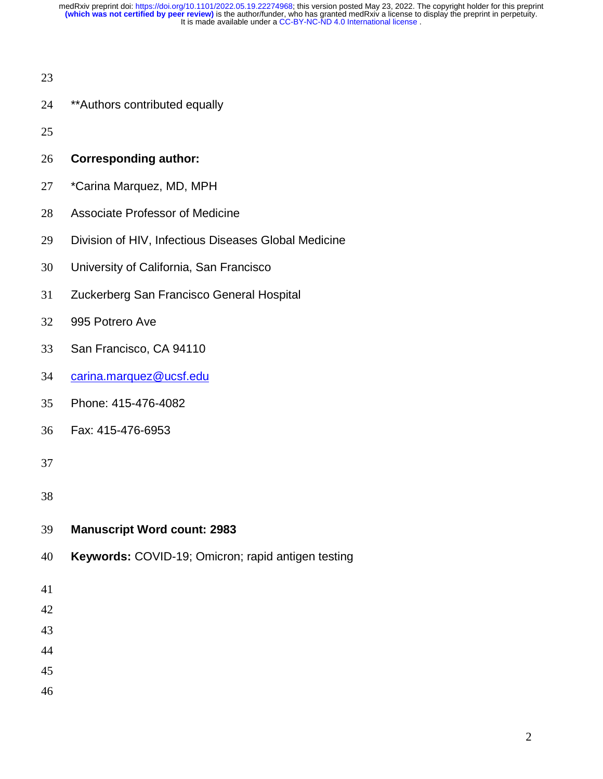- 
- \*\*Authors contributed equally
- 
- **Corresponding author:**
- \*Carina Marquez, MD, MPH
- Associate Professor of Medicine
- Division of HIV, Infectious Diseases Global Medicine
- University of California, San Francisco
- Zuckerberg San Francisco General Hospital
- 995 Potrero Ave
- San Francisco, CA 94110
- carina.marquez@ucsf.edu
- Phone: 415-476-4082
- Fax: 415-476-6953
- 

- **Manuscript Word count: 2983**
- **Keywords:** COVID-19; Omicron; rapid antigen testing

- 
- 
- 
- 
-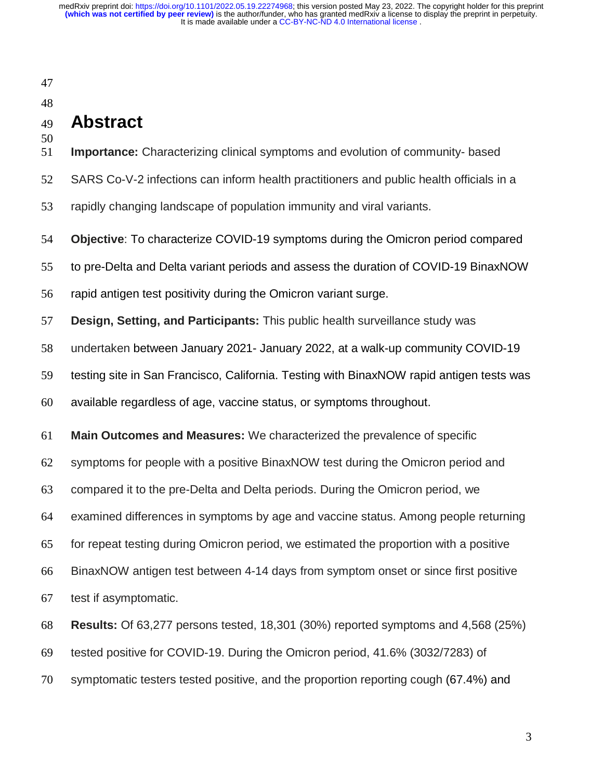It is made available under a [CC-BY-NC-ND 4.0 International license](http://creativecommons.org/licenses/by-nc-nd/4.0/) . **(which was not certified by peer review)** is the author/funder, who has granted medRxiv a license to display the preprint in perpetuity. medRxiv preprint doi: [https://doi.org/10.1101/2022.05.19.22274968;](https://doi.org/10.1101/2022.05.19.22274968) this version posted May 23, 2022. The copyright holder for this preprint

- 
- 

# **Abstract**

- 
- **Importance:** Characterizing clinical symptoms and evolution of community- based
- SARS Co-V-2 infections can inform health practitioners and public health officials in a
- rapidly changing landscape of population immunity and viral variants.
- **Objective**: To characterize COVID-19 symptoms during the Omicron period compared
- to pre-Delta and Delta variant periods and assess the duration of COVID-19 BinaxNOW
- rapid antigen test positivity during the Omicron variant surge.
- **Design, Setting, and Participants:** This public health surveillance study was
- undertaken between January 2021- January 2022, at a walk-up community COVID-19
- testing site in San Francisco, California. Testing with BinaxNOW rapid antigen tests was
- available regardless of age, vaccine status, or symptoms throughout.
- **Main Outcomes and Measures:** We characterized the prevalence of specific
- symptoms for people with a positive BinaxNOW test during the Omicron period and
- compared it to the pre-Delta and Delta periods. During the Omicron period, we
- examined differences in symptoms by age and vaccine status. Among people returning
- for repeat testing during Omicron period, we estimated the proportion with a positive
- BinaxNOW antigen test between 4-14 days from symptom onset or since first positive
- test if asymptomatic.
- **Results:** Of 63,277 persons tested, 18,301 (30%) reported symptoms and 4,568 (25%)
- tested positive for COVID-19. During the Omicron period, 41.6% (3032/7283) of
- symptomatic testers tested positive, and the proportion reporting cough (67.4%) and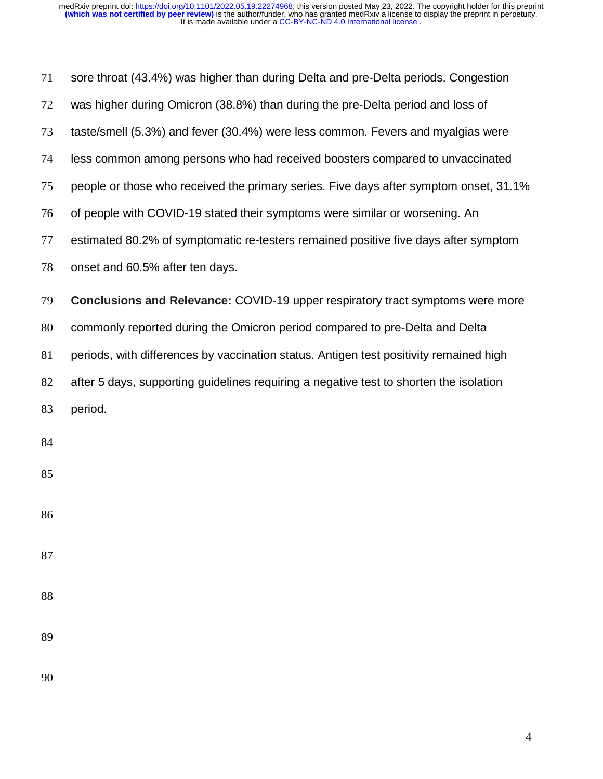| 71 | sore throat (43.4%) was higher than during Delta and pre-Delta periods. Congestion     |
|----|----------------------------------------------------------------------------------------|
| 72 | was higher during Omicron (38.8%) than during the pre-Delta period and loss of         |
| 73 | taste/smell (5.3%) and fever (30.4%) were less common. Fevers and myalgias were        |
| 74 | less common among persons who had received boosters compared to unvaccinated           |
| 75 | people or those who received the primary series. Five days after symptom onset, 31.1%  |
| 76 | of people with COVID-19 stated their symptoms were similar or worsening. An            |
| 77 | estimated 80.2% of symptomatic re-testers remained positive five days after symptom    |
| 78 | onset and 60.5% after ten days.                                                        |
| 79 | <b>Conclusions and Relevance: COVID-19 upper respiratory tract symptoms were more</b>  |
| 80 | commonly reported during the Omicron period compared to pre-Delta and Delta            |
| 81 | periods, with differences by vaccination status. Antigen test positivity remained high |
| 82 | after 5 days, supporting guidelines requiring a negative test to shorten the isolation |
| 83 | period.                                                                                |
| 84 |                                                                                        |
| 85 |                                                                                        |
|    |                                                                                        |
| 86 |                                                                                        |
| 87 |                                                                                        |
| 88 |                                                                                        |
|    |                                                                                        |
| 89 |                                                                                        |
|    |                                                                                        |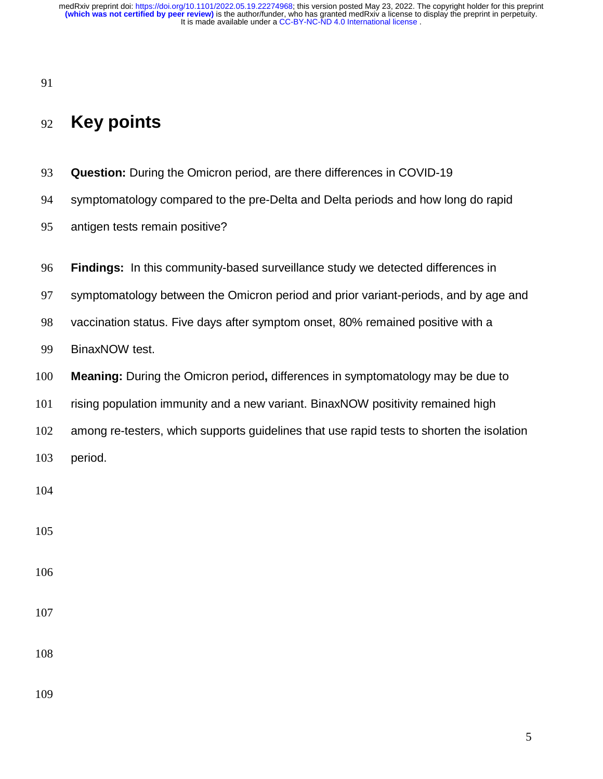## 

# **Key points**

- **Question:** During the Omicron period, are there differences in COVID-19
- symptomatology compared to the pre-Delta and Delta periods and how long do rapid
- antigen tests remain positive?

| 96 | <b>Findings:</b> In this community-based surveillance study we detected differences in |
|----|----------------------------------------------------------------------------------------|
| 97 | symptomatology between the Omicron period and prior variant-periods, and by age and    |
| 98 | vaccination status. Five days after symptom onset, 80% remained positive with a        |

BinaxNOW test.

- **Meaning:** During the Omicron period**,** differences in symptomatology may be due to
- rising population immunity and a new variant. BinaxNOW positivity remained high
- among re-testers, which supports guidelines that use rapid tests to shorten the isolation
- period.
- 
- 
- 
- 
-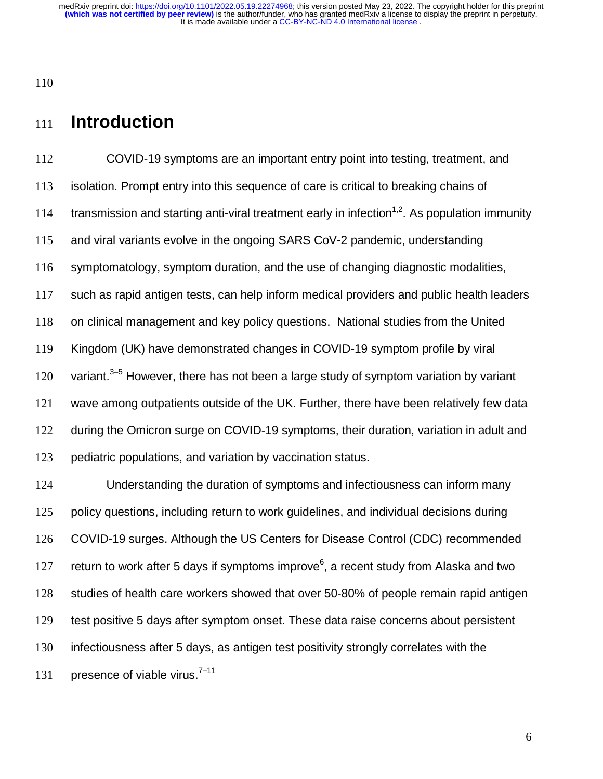# **Introduction**

COVID-19 symptoms are an important entry point into testing, treatment, and isolation. Prompt entry into this sequence of care is critical to breaking chains of  $\cdot$  transmission and starting anti-viral treatment early in infection<sup>1,2</sup>. As population immunity and viral variants evolve in the ongoing SARS CoV-2 pandemic, understanding symptomatology, symptom duration, and the use of changing diagnostic modalities, such as rapid antigen tests, can help inform medical providers and public health leaders on clinical management and key policy questions. National studies from the United Kingdom (UK) have demonstrated changes in COVID-19 symptom profile by viral 120 variant. $3-5$  However, there has not been a large study of symptom variation by variant wave among outpatients outside of the UK. Further, there have been relatively few data during the Omicron surge on COVID-19 symptoms, their duration, variation in adult and pediatric populations, and variation by vaccination status.

Understanding the duration of symptoms and infectiousness can inform many policy questions, including return to work guidelines, and individual decisions during COVID-19 surges. Although the US Centers for Disease Control (CDC) recommended 127 return to work after 5 days if symptoms improve<sup>6</sup>, a recent study from Alaska and two studies of health care workers showed that over 50-80% of people remain rapid antigen test positive 5 days after symptom onset. These data raise concerns about persistent infectiousness after 5 days, as antigen test positivity strongly correlates with the 131 presence of viable virus.<sup>7–11</sup>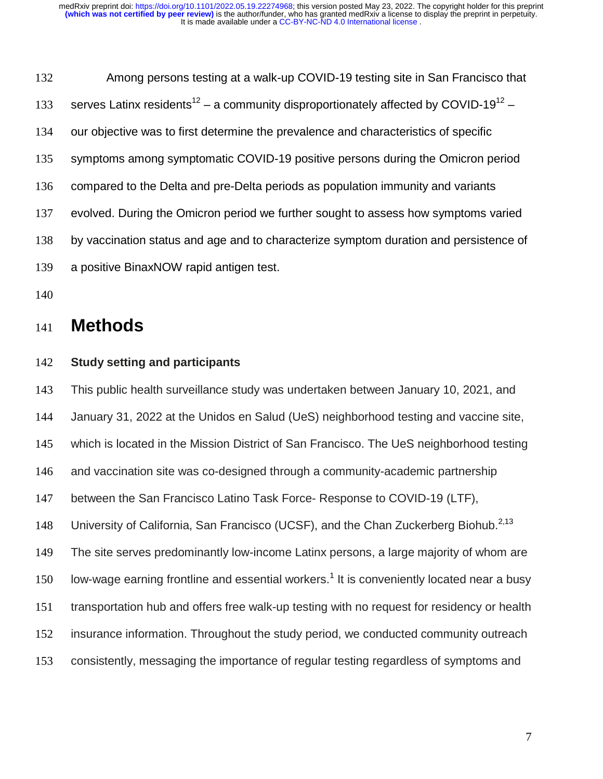| 132 | Among persons testing at a walk-up COVID-19 testing site in San Francisco that                              |
|-----|-------------------------------------------------------------------------------------------------------------|
| 133 | serves Latinx residents <sup>12</sup> – a community disproportionately affected by COVID-19 <sup>12</sup> – |
| 134 | our objective was to first determine the prevalence and characteristics of specific                         |
| 135 | symptoms among symptomatic COVID-19 positive persons during the Omicron period                              |
| 136 | compared to the Delta and pre-Delta periods as population immunity and variants                             |
| 137 | evolved. During the Omicron period we further sought to assess how symptoms varied                          |
| 138 | by vaccination status and age and to characterize symptom duration and persistence of                       |
| 139 | a positive BinaxNOW rapid antigen test.                                                                     |
|     |                                                                                                             |

# **Methods**

### **Study setting and participants**

This public health surveillance study was undertaken between January 10, 2021, and January 31, 2022 at the Unidos en Salud (UeS) neighborhood testing and vaccine site, which is located in the Mission District of San Francisco. The UeS neighborhood testing and vaccination site was co-designed through a community-academic partnership between the San Francisco Latino Task Force- Response to COVID-19 (LTF), 148 University of California, San Francisco (UCSF), and the Chan Zuckerberg Biohub.<sup>2,13</sup> The site serves predominantly low-income Latinx persons, a large majority of whom are 150 Iow-wage earning frontline and essential workers.<sup>1</sup> It is conveniently located near a busy transportation hub and offers free walk-up testing with no request for residency or health insurance information. Throughout the study period, we conducted community outreach consistently, messaging the importance of regular testing regardless of symptoms and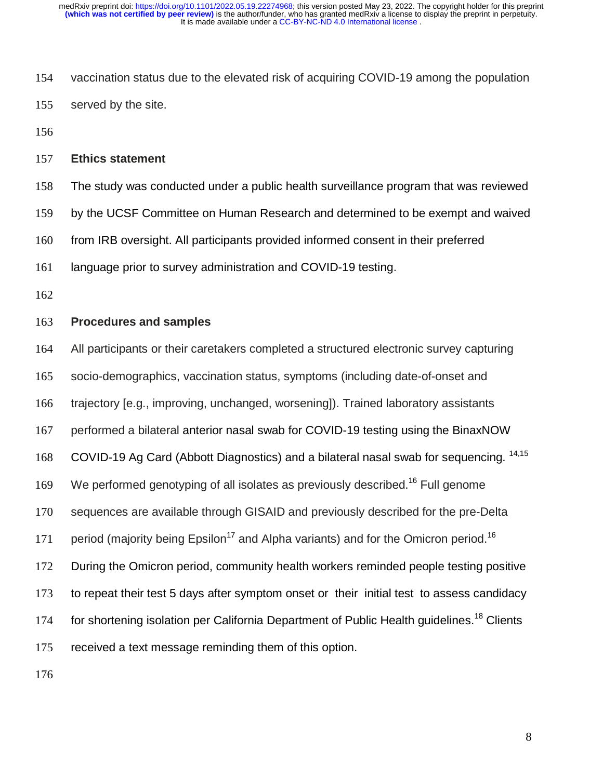- vaccination status due to the elevated risk of acquiring COVID-19 among the population served by the site.
- 
- **Ethics statement**
- The study was conducted under a public health surveillance program that was reviewed
- by the UCSF Committee on Human Research and determined to be exempt and waived
- from IRB oversight. All participants provided informed consent in their preferred
- language prior to survey administration and COVID-19 testing.
- 

#### **Procedures and samples**

- All participants or their caretakers completed a structured electronic survey capturing
- socio-demographics, vaccination status, symptoms (including date-of-onset and
- trajectory [e.g., improving, unchanged, worsening]). Trained laboratory assistants
- performed a bilateral anterior nasal swab for COVID-19 testing using the BinaxNOW
- 168 COVID-19 Ag Card (Abbott Diagnostics) and a bilateral nasal swab for sequencing. <sup>14,15</sup>
- 169 We performed genotyping of all isolates as previously described.<sup>16</sup> Full genome
- sequences are available through GISAID and previously described for the pre-Delta
- 171 period (majority being Epsilon<sup>17</sup> and Alpha variants) and for the Omicron period.<sup>16</sup>
- During the Omicron period, community health workers reminded people testing positive
- to repeat their test 5 days after symptom onset or their initial test to assess candidacy
- for shortening isolation per California Department of Public Health guidelines.<sup>18</sup> Clients
- received a text message reminding them of this option.
-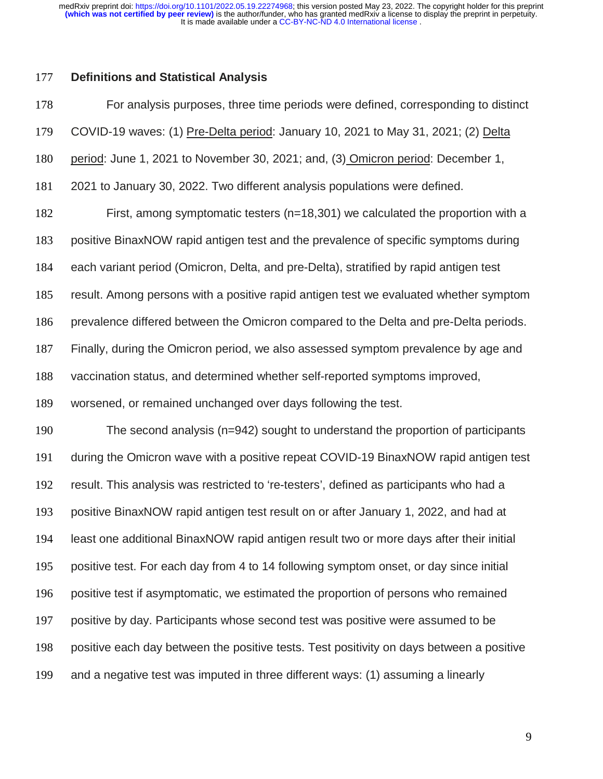#### **Definitions and Statistical Analysis**

For analysis purposes, three time periods were defined, corresponding to distinct COVID-19 waves: (1) Pre-Delta period: January 10, 2021 to May 31, 2021; (2) Delta period: June 1, 2021 to November 30, 2021; and, (3) Omicron period: December 1, 2021 to January 30, 2022. Two different analysis populations were defined. First, among symptomatic testers (n=18,301) we calculated the proportion with a positive BinaxNOW rapid antigen test and the prevalence of specific symptoms during each variant period (Omicron, Delta, and pre-Delta), stratified by rapid antigen test result. Among persons with a positive rapid antigen test we evaluated whether symptom prevalence differed between the Omicron compared to the Delta and pre-Delta periods. Finally, during the Omicron period, we also assessed symptom prevalence by age and vaccination status, and determined whether self-reported symptoms improved, worsened, or remained unchanged over days following the test. The second analysis (n=942) sought to understand the proportion of participants during the Omicron wave with a positive repeat COVID-19 BinaxNOW rapid antigen test result. This analysis was restricted to 're-testers', defined as participants who had a positive BinaxNOW rapid antigen test result on or after January 1, 2022, and had at least one additional BinaxNOW rapid antigen result two or more days after their initial positive test. For each day from 4 to 14 following symptom onset, or day since initial positive test if asymptomatic, we estimated the proportion of persons who remained positive by day. Participants whose second test was positive were assumed to be positive each day between the positive tests. Test positivity on days between a positive and a negative test was imputed in three different ways: (1) assuming a linearly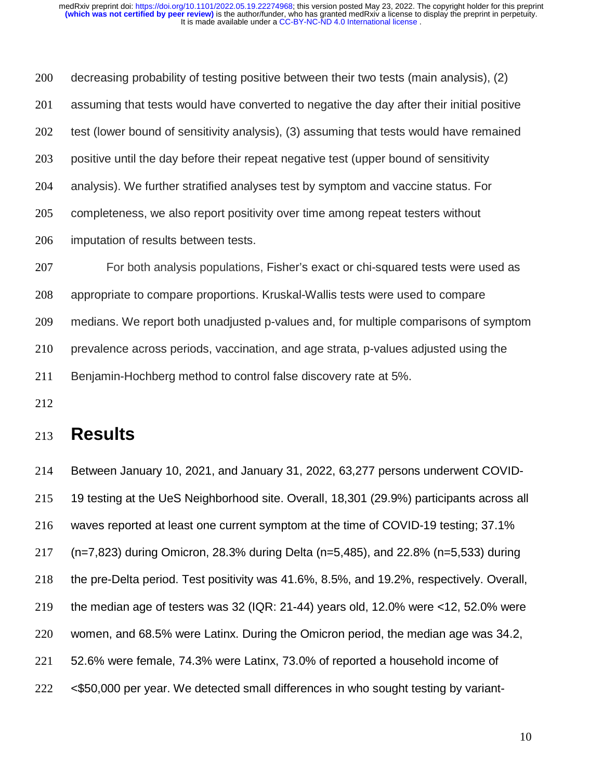decreasing probability of testing positive between their two tests (main analysis), (2) 201 assuming that tests would have converted to negative the day after their initial positive test (lower bound of sensitivity analysis), (3) assuming that tests would have remained positive until the day before their repeat negative test (upper bound of sensitivity analysis). We further stratified analyses test by symptom and vaccine status. For completeness, we also report positivity over time among repeat testers without imputation of results between tests. For both analysis populations, Fisher's exact or chi-squared tests were used as appropriate to compare proportions. Kruskal-Wallis tests were used to compare medians. We report both unadjusted p-values and, for multiple comparisons of symptom prevalence across periods, vaccination, and age strata, p-values adjusted using the Benjamin-Hochberg method to control false discovery rate at 5%.

# **Results**

Between January 10, 2021, and January 31, 2022, 63,277 persons underwent COVID-19 testing at the UeS Neighborhood site. Overall, 18,301 (29.9%) participants across all waves reported at least one current symptom at the time of COVID-19 testing; 37.1% (n=7,823) during Omicron, 28.3% during Delta (n=5,485), and 22.8% (n=5,533) during the pre-Delta period. Test positivity was 41.6%, 8.5%, and 19.2%, respectively. Overall, the median age of testers was 32 (IQR: 21-44) years old, 12.0% were <12, 52.0% were women, and 68.5% were Latinx. During the Omicron period, the median age was 34.2, 52.6% were female, 74.3% were Latinx, 73.0% of reported a household income of <\$50,000 per year. We detected small differences in who sought testing by variant-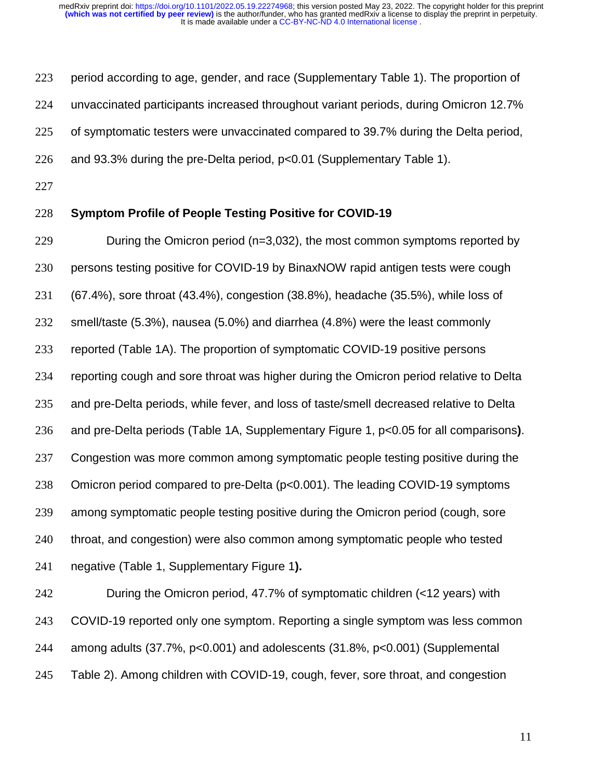It is made available under a [CC-BY-NC-ND 4.0 International license](http://creativecommons.org/licenses/by-nc-nd/4.0/) . **(which was not certified by peer review)** is the author/funder, who has granted medRxiv a license to display the preprint in perpetuity. medRxiv preprint doi: [https://doi.org/10.1101/2022.05.19.22274968;](https://doi.org/10.1101/2022.05.19.22274968) this version posted May 23, 2022. The copyright holder for this preprint

period according to age, gender, and race (Supplementary Table 1). The proportion of unvaccinated participants increased throughout variant periods, during Omicron 12.7% 225 of symptomatic testers were unvaccinated compared to 39.7% during the Delta period, and 93.3% during the pre-Delta period, p<0.01 (Supplementary Table 1).

#### **Symptom Profile of People Testing Positive for COVID-19**

During the Omicron period (n=3,032), the most common symptoms reported by persons testing positive for COVID-19 by BinaxNOW rapid antigen tests were cough (67.4%), sore throat (43.4%), congestion (38.8%), headache (35.5%), while loss of smell/taste (5.3%), nausea (5.0%) and diarrhea (4.8%) were the least commonly reported (Table 1A). The proportion of symptomatic COVID-19 positive persons reporting cough and sore throat was higher during the Omicron period relative to Delta and pre-Delta periods, while fever, and loss of taste/smell decreased relative to Delta and pre-Delta periods (Table 1A, Supplementary Figure 1, p<0.05 for all comparisons**)**. Congestion was more common among symptomatic people testing positive during the Omicron period compared to pre-Delta (p<0.001). The leading COVID-19 symptoms among symptomatic people testing positive during the Omicron period (cough, sore throat, and congestion) were also common among symptomatic people who tested negative (Table 1, Supplementary Figure 1**).**  During the Omicron period, 47.7% of symptomatic children (<12 years) with COVID-19 reported only one symptom. Reporting a single symptom was less common

among adults (37.7%, p<0.001) and adolescents (31.8%, p<0.001) (Supplemental

Table 2). Among children with COVID-19, cough, fever, sore throat, and congestion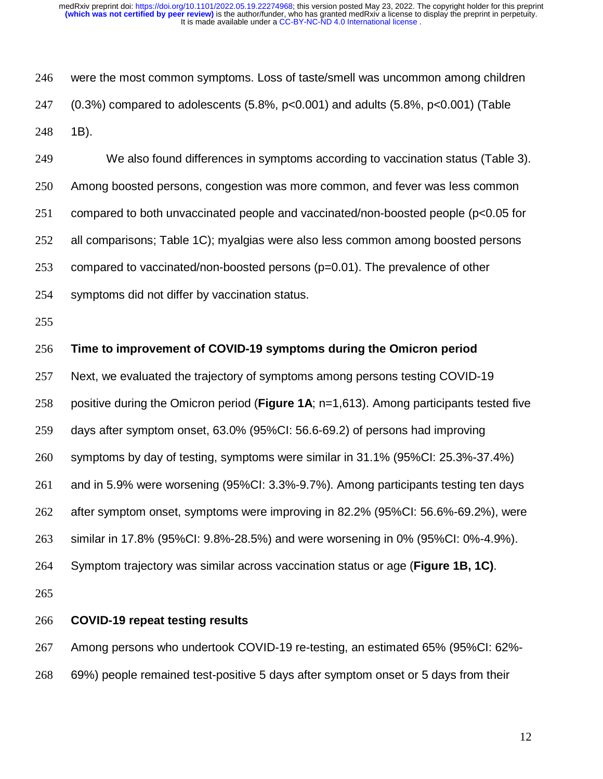were the most common symptoms. Loss of taste/smell was uncommon among children (0.3%) compared to adolescents (5.8%, p<0.001) and adults (5.8%, p<0.001) (Table 1B).

We also found differences in symptoms according to vaccination status (Table 3). Among boosted persons, congestion was more common, and fever was less common compared to both unvaccinated people and vaccinated/non-boosted people (p<0.05 for all comparisons; Table 1C); myalgias were also less common among boosted persons compared to vaccinated/non-boosted persons (p=0.01). The prevalence of other symptoms did not differ by vaccination status.

## **Time to improvement of COVID-19 symptoms during the Omicron period**

Next, we evaluated the trajectory of symptoms among persons testing COVID-19

positive during the Omicron period (**Figure 1A**; n=1,613). Among participants tested five

days after symptom onset, 63.0% (95%CI: 56.6-69.2) of persons had improving

symptoms by day of testing, symptoms were similar in 31.1% (95%CI: 25.3%-37.4%)

and in 5.9% were worsening (95%CI: 3.3%-9.7%). Among participants testing ten days

after symptom onset, symptoms were improving in 82.2% (95%CI: 56.6%-69.2%), were

similar in 17.8% (95%CI: 9.8%-28.5%) and were worsening in 0% (95%CI: 0%-4.9%).

Symptom trajectory was similar across vaccination status or age (**Figure 1B, 1C)**.

## **COVID-19 repeat testing results**

Among persons who undertook COVID-19 re-testing, an estimated 65% (95%CI: 62%-

69%) people remained test-positive 5 days after symptom onset or 5 days from their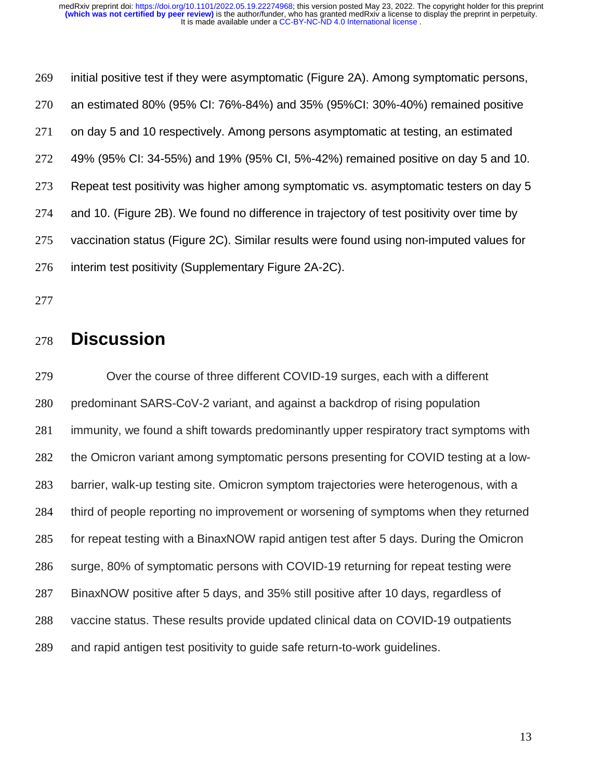It is made available under a [CC-BY-NC-ND 4.0 International license](http://creativecommons.org/licenses/by-nc-nd/4.0/) . **(which was not certified by peer review)** is the author/funder, who has granted medRxiv a license to display the preprint in perpetuity. medRxiv preprint doi: [https://doi.org/10.1101/2022.05.19.22274968;](https://doi.org/10.1101/2022.05.19.22274968) this version posted May 23, 2022. The copyright holder for this preprint

initial positive test if they were asymptomatic (Figure 2A). Among symptomatic persons, an estimated 80% (95% CI: 76%-84%) and 35% (95%CI: 30%-40%) remained positive on day 5 and 10 respectively. Among persons asymptomatic at testing, an estimated 49% (95% CI: 34-55%) and 19% (95% CI, 5%-42%) remained positive on day 5 and 10. Repeat test positivity was higher among symptomatic vs. asymptomatic testers on day 5 and 10. (Figure 2B). We found no difference in trajectory of test positivity over time by vaccination status (Figure 2C). Similar results were found using non-imputed values for interim test positivity (Supplementary Figure 2A-2C).

# **Discussion**

Over the course of three different COVID-19 surges, each with a different predominant SARS-CoV-2 variant, and against a backdrop of rising population immunity, we found a shift towards predominantly upper respiratory tract symptoms with the Omicron variant among symptomatic persons presenting for COVID testing at a low-barrier, walk-up testing site. Omicron symptom trajectories were heterogenous, with a third of people reporting no improvement or worsening of symptoms when they returned for repeat testing with a BinaxNOW rapid antigen test after 5 days. During the Omicron surge, 80% of symptomatic persons with COVID-19 returning for repeat testing were BinaxNOW positive after 5 days, and 35% still positive after 10 days, regardless of vaccine status. These results provide updated clinical data on COVID-19 outpatients and rapid antigen test positivity to guide safe return-to-work guidelines.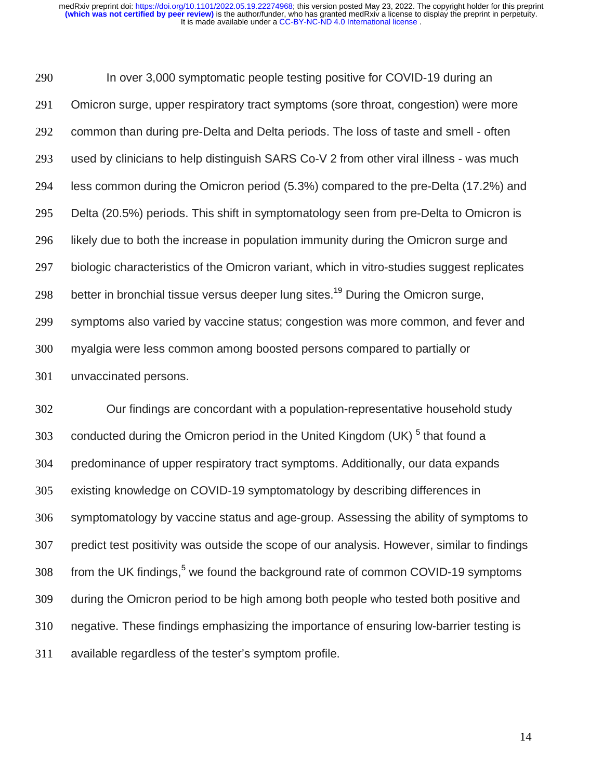In over 3,000 symptomatic people testing positive for COVID-19 during an Omicron surge, upper respiratory tract symptoms (sore throat, congestion) were more common than during pre-Delta and Delta periods. The loss of taste and smell - often used by clinicians to help distinguish SARS Co-V 2 from other viral illness - was much less common during the Omicron period (5.3%) compared to the pre-Delta (17.2%) and Delta (20.5%) periods. This shift in symptomatology seen from pre-Delta to Omicron is likely due to both the increase in population immunity during the Omicron surge and biologic characteristics of the Omicron variant, which in vitro-studies suggest replicates 298 better in bronchial tissue versus deeper lung sites.<sup>19</sup> During the Omicron surge, symptoms also varied by vaccine status; congestion was more common, and fever and myalgia were less common among boosted persons compared to partially or unvaccinated persons.

Our findings are concordant with a population-representative household study 303 conducted during the Omicron period in the United Kingdom (UK) that found a predominance of upper respiratory tract symptoms. Additionally, our data expands existing knowledge on COVID-19 symptomatology by describing differences in symptomatology by vaccine status and age-group. Assessing the ability of symptoms to predict test positivity was outside the scope of our analysis. However, similar to findings from the UK findings,<sup>5</sup> we found the background rate of common COVID-19 symptoms during the Omicron period to be high among both people who tested both positive and negative. These findings emphasizing the importance of ensuring low-barrier testing is available regardless of the tester's symptom profile.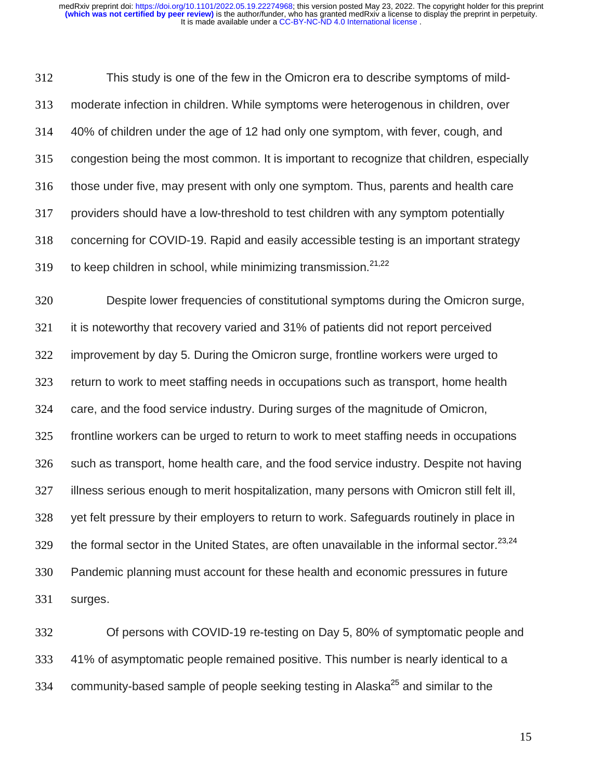This study is one of the few in the Omicron era to describe symptoms of mild-moderate infection in children. While symptoms were heterogenous in children, over 40% of children under the age of 12 had only one symptom, with fever, cough, and congestion being the most common. It is important to recognize that children, especially those under five, may present with only one symptom. Thus, parents and health care providers should have a low-threshold to test children with any symptom potentially concerning for COVID-19. Rapid and easily accessible testing is an important strategy 319 to keep children in school, while minimizing transmission.  $2^{1,22}$ 

Despite lower frequencies of constitutional symptoms during the Omicron surge, it is noteworthy that recovery varied and 31% of patients did not report perceived improvement by day 5. During the Omicron surge, frontline workers were urged to return to work to meet staffing needs in occupations such as transport, home health care, and the food service industry. During surges of the magnitude of Omicron, frontline workers can be urged to return to work to meet staffing needs in occupations such as transport, home health care, and the food service industry. Despite not having illness serious enough to merit hospitalization, many persons with Omicron still felt ill, yet felt pressure by their employers to return to work. Safeguards routinely in place in the formal sector in the United States, are often unavailable in the informal sector.<sup>23,24</sup> Pandemic planning must account for these health and economic pressures in future surges.

Of persons with COVID-19 re-testing on Day 5, 80% of symptomatic people and 41% of asymptomatic people remained positive. This number is nearly identical to a 334 community-based sample of people seeking testing in Alaska<sup>25</sup> and similar to the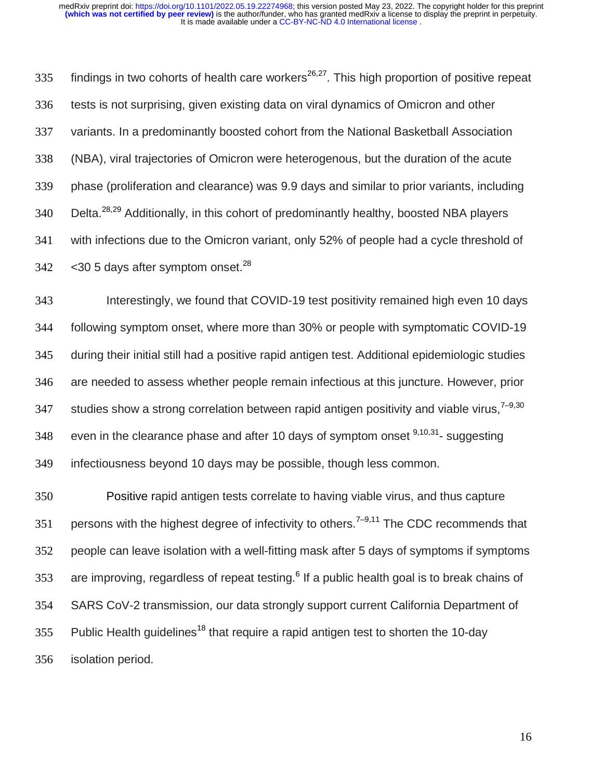335 findings in two cohorts of health care workers<sup>26,27</sup>. This high proportion of positive repeat tests is not surprising, given existing data on viral dynamics of Omicron and other variants. In a predominantly boosted cohort from the National Basketball Association (NBA), viral trajectories of Omicron were heterogenous, but the duration of the acute phase (proliferation and clearance) was 9.9 days and similar to prior variants, including 340 Delta.<sup>28,29</sup> Additionally, in this cohort of predominantly healthy, boosted NBA players with infections due to the Omicron variant, only 52% of people had a cycle threshold of  $342 \times 305$  days after symptom onset.<sup>28</sup>

Interestingly, we found that COVID-19 test positivity remained high even 10 days following symptom onset, where more than 30% or people with symptomatic COVID-19 during their initial still had a positive rapid antigen test. Additional epidemiologic studies are needed to assess whether people remain infectious at this juncture. However, prior studies show a strong correlation between rapid antigen positivity and viable virus,<sup>7–9,30</sup> 348 – even in the clearance phase and after 10 days of symptom onset  $9,10,31$ - suggesting infectiousness beyond 10 days may be possible, though less common.

Positive rapid antigen tests correlate to having viable virus, and thus capture 351 persons with the highest degree of infectivity to others.<sup> $7-9,11$ </sup> The CDC recommends that people can leave isolation with a well-fitting mask after 5 days of symptoms if symptoms 353 are improving, regardless of repeat testing.<sup>6</sup> If a public health goal is to break chains of SARS CoV-2 transmission, our data strongly support current California Department of 355 Public Health guidelines<sup>18</sup> that require a rapid antigen test to shorten the 10-day isolation period.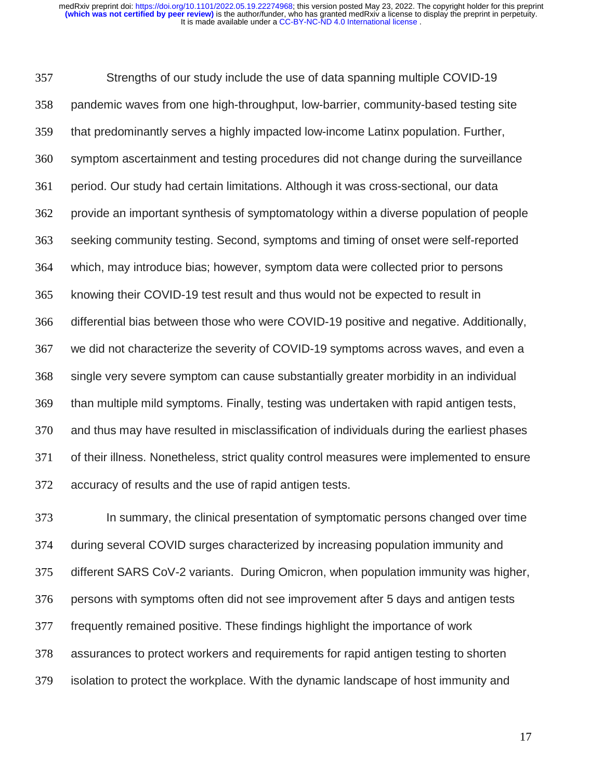Strengths of our study include the use of data spanning multiple COVID-19 pandemic waves from one high-throughput, low-barrier, community-based testing site that predominantly serves a highly impacted low-income Latinx population. Further, symptom ascertainment and testing procedures did not change during the surveillance period. Our study had certain limitations. Although it was cross-sectional, our data provide an important synthesis of symptomatology within a diverse population of people seeking community testing. Second, symptoms and timing of onset were self-reported which, may introduce bias; however, symptom data were collected prior to persons knowing their COVID-19 test result and thus would not be expected to result in differential bias between those who were COVID-19 positive and negative. Additionally, we did not characterize the severity of COVID-19 symptoms across waves, and even a single very severe symptom can cause substantially greater morbidity in an individual than multiple mild symptoms. Finally, testing was undertaken with rapid antigen tests, and thus may have resulted in misclassification of individuals during the earliest phases of their illness. Nonetheless, strict quality control measures were implemented to ensure accuracy of results and the use of rapid antigen tests.

In summary, the clinical presentation of symptomatic persons changed over time during several COVID surges characterized by increasing population immunity and different SARS CoV-2 variants. During Omicron, when population immunity was higher, persons with symptoms often did not see improvement after 5 days and antigen tests frequently remained positive. These findings highlight the importance of work assurances to protect workers and requirements for rapid antigen testing to shorten isolation to protect the workplace. With the dynamic landscape of host immunity and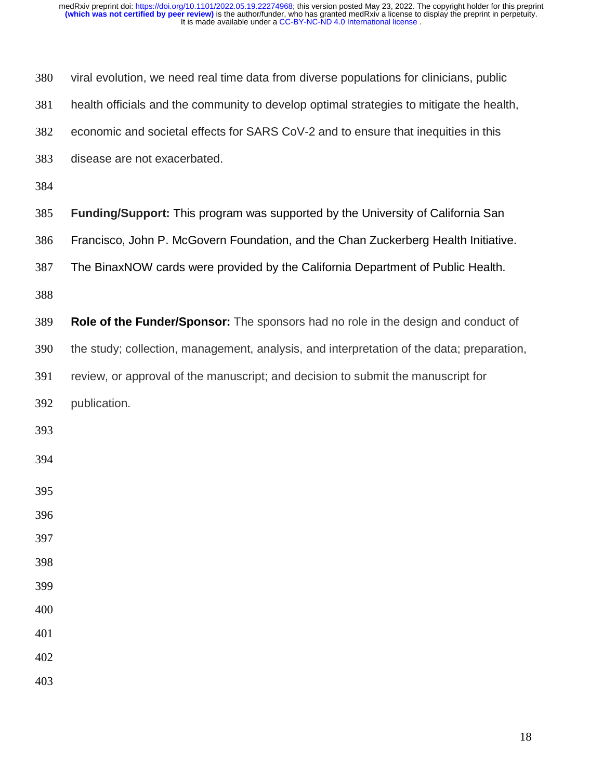| 380        | viral evolution, we need real time data from diverse populations for clinicians, public   |
|------------|-------------------------------------------------------------------------------------------|
| 381        | health officials and the community to develop optimal strategies to mitigate the health,  |
| 382        | economic and societal effects for SARS CoV-2 and to ensure that inequities in this        |
| 383        | disease are not exacerbated.                                                              |
| 384        |                                                                                           |
| 385        | <b>Funding/Support:</b> This program was supported by the University of California San    |
| 386        | Francisco, John P. McGovern Foundation, and the Chan Zuckerberg Health Initiative.        |
| 387        | The BinaxNOW cards were provided by the California Department of Public Health.           |
| 388        |                                                                                           |
| 389        | <b>Role of the Funder/Sponsor:</b> The sponsors had no role in the design and conduct of  |
| 390        | the study; collection, management, analysis, and interpretation of the data; preparation, |
| 391        | review, or approval of the manuscript; and decision to submit the manuscript for          |
| 392        | publication.                                                                              |
| 393        |                                                                                           |
| 394        |                                                                                           |
| 395        |                                                                                           |
| 396        |                                                                                           |
| 397        |                                                                                           |
| 398        |                                                                                           |
| 399        |                                                                                           |
| 400        |                                                                                           |
| 401        |                                                                                           |
| 402<br>403 |                                                                                           |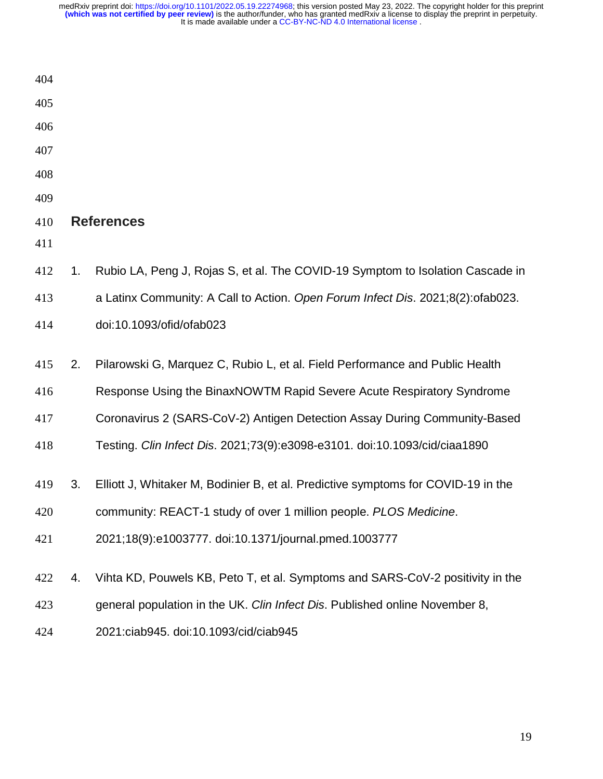| 404 |    |                                                                                   |
|-----|----|-----------------------------------------------------------------------------------|
| 405 |    |                                                                                   |
| 406 |    |                                                                                   |
| 407 |    |                                                                                   |
| 408 |    |                                                                                   |
| 409 |    |                                                                                   |
| 410 |    | <b>References</b>                                                                 |
| 411 |    |                                                                                   |
| 412 | 1. | Rubio LA, Peng J, Rojas S, et al. The COVID-19 Symptom to Isolation Cascade in    |
| 413 |    | a Latinx Community: A Call to Action. Open Forum Infect Dis. 2021;8(2):ofab023.   |
| 414 |    | doi:10.1093/ofid/ofab023                                                          |
| 415 | 2. | Pilarowski G, Marquez C, Rubio L, et al. Field Performance and Public Health      |
| 416 |    | Response Using the BinaxNOWTM Rapid Severe Acute Respiratory Syndrome             |
| 417 |    | Coronavirus 2 (SARS-CoV-2) Antigen Detection Assay During Community-Based         |
| 418 |    | Testing. Clin Infect Dis. 2021;73(9):e3098-e3101. doi:10.1093/cid/ciaa1890        |
| 419 | 3. | Elliott J, Whitaker M, Bodinier B, et al. Predictive symptoms for COVID-19 in the |
| 420 |    | community: REACT-1 study of over 1 million people. PLOS Medicine.                 |
| 421 |    | 2021;18(9):e1003777. doi:10.1371/journal.pmed.1003777                             |
| 422 | 4. | Vihta KD, Pouwels KB, Peto T, et al. Symptoms and SARS-CoV-2 positivity in the    |
| 423 |    | general population in the UK. Clin Infect Dis. Published online November 8,       |
| 424 |    | 2021:ciab945. doi:10.1093/cid/ciab945                                             |
|     |    |                                                                                   |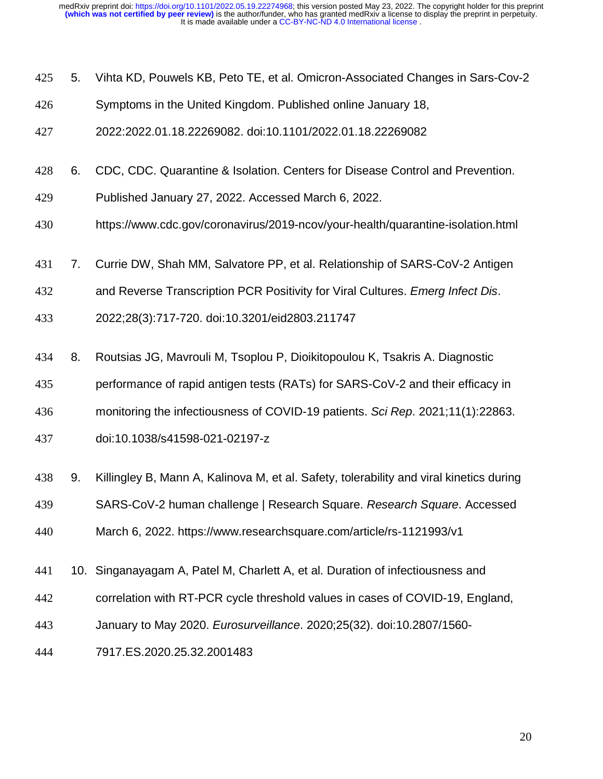- 5. Vihta KD, Pouwels KB, Peto TE, et al. Omicron-Associated Changes in Sars-Cov-2
- Symptoms in the United Kingdom. Published online January 18,
- 2022:2022.01.18.22269082. doi:10.1101/2022.01.18.22269082
- 6. CDC, CDC. Quarantine & Isolation. Centers for Disease Control and Prevention.
- Published January 27, 2022. Accessed March 6, 2022.
- https://www.cdc.gov/coronavirus/2019-ncov/your-health/quarantine-isolation.html
- 7. Currie DW, Shah MM, Salvatore PP, et al. Relationship of SARS-CoV-2 Antigen
- and Reverse Transcription PCR Positivity for Viral Cultures. *Emerg Infect Dis*.
- 2022;28(3):717-720. doi:10.3201/eid2803.211747
- 8. Routsias JG, Mavrouli M, Tsoplou P, Dioikitopoulou K, Tsakris A. Diagnostic
- performance of rapid antigen tests (RATs) for SARS-CoV-2 and their efficacy in
- monitoring the infectiousness of COVID-19 patients. *Sci Rep*. 2021;11(1):22863.
- doi:10.1038/s41598-021-02197-z
- 9. Killingley B, Mann A, Kalinova M, et al. Safety, tolerability and viral kinetics during
- SARS-CoV-2 human challenge | Research Square. *Research Square*. Accessed
- March 6, 2022. https://www.researchsquare.com/article/rs-1121993/v1
- 10. Singanayagam A, Patel M, Charlett A, et al. Duration of infectiousness and
- correlation with RT-PCR cycle threshold values in cases of COVID-19, England,
- January to May 2020. *Eurosurveillance*. 2020;25(32). doi:10.2807/1560-
- 7917.ES.2020.25.32.2001483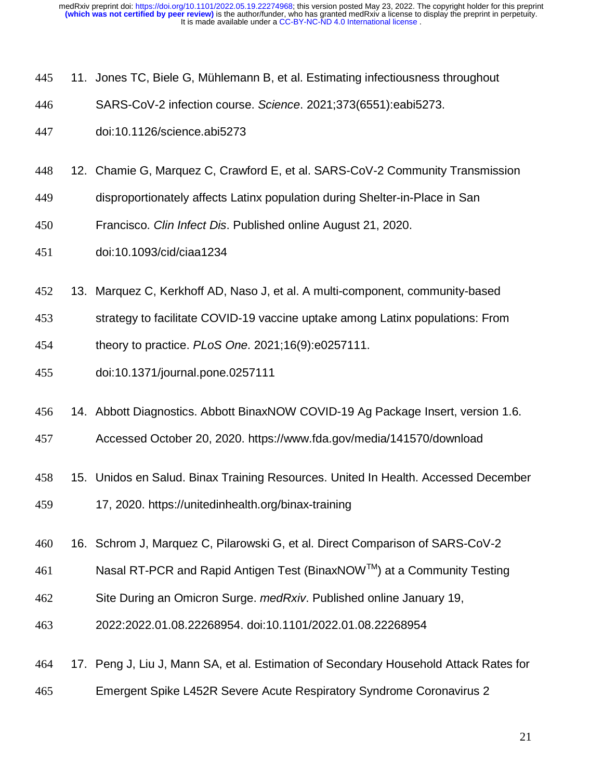| 445 | 11. Jones TC, Biele G, Mühlemann B, et al. Estimating infectiousness throughout       |
|-----|---------------------------------------------------------------------------------------|
| 446 | SARS-CoV-2 infection course. Science. 2021;373(6551):eabi5273.                        |
| 447 | doi:10.1126/science.abi5273                                                           |
| 448 | 12. Chamie G, Marquez C, Crawford E, et al. SARS-CoV-2 Community Transmission         |
| 449 | disproportionately affects Latinx population during Shelter-in-Place in San           |
| 450 | Francisco. Clin Infect Dis. Published online August 21, 2020.                         |
| 451 | doi:10.1093/cid/ciaa1234                                                              |
| 452 | 13. Marquez C, Kerkhoff AD, Naso J, et al. A multi-component, community-based         |
| 453 | strategy to facilitate COVID-19 vaccine uptake among Latinx populations: From         |
| 454 | theory to practice. PLoS One. 2021;16(9):e0257111.                                    |
| 455 | doi:10.1371/journal.pone.0257111                                                      |
| 456 | 14. Abbott Diagnostics. Abbott BinaxNOW COVID-19 Ag Package Insert, version 1.6.      |
| 457 | Accessed October 20, 2020. https://www.fda.gov/media/141570/download                  |
| 458 | 15. Unidos en Salud. Binax Training Resources. United In Health. Accessed December    |
| 459 | 17, 2020. https://unitedinhealth.org/binax-training                                   |
| 460 | 16. Schrom J, Marquez C, Pilarowski G, et al. Direct Comparison of SARS-CoV-2         |
| 461 | Nasal RT-PCR and Rapid Antigen Test (BinaxNOW™) at a Community Testing                |
| 462 | Site During an Omicron Surge. medRxiv. Published online January 19,                   |
| 463 | 2022:2022.01.08.22268954. doi:10.1101/2022.01.08.22268954                             |
| 464 | 17. Peng J, Liu J, Mann SA, et al. Estimation of Secondary Household Attack Rates for |
| 465 | Emergent Spike L452R Severe Acute Respiratory Syndrome Coronavirus 2                  |
|     |                                                                                       |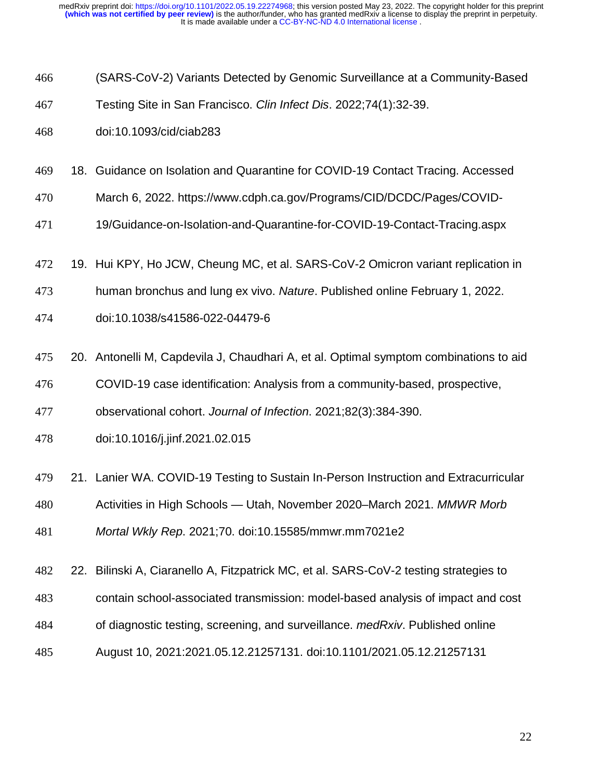- (SARS-CoV-2) Variants Detected by Genomic Surveillance at a Community-Based
- Testing Site in San Francisco. *Clin Infect Dis*. 2022;74(1):32-39.
- doi:10.1093/cid/ciab283
- 18. Guidance on Isolation and Quarantine for COVID-19 Contact Tracing. Accessed
- March 6, 2022. https://www.cdph.ca.gov/Programs/CID/DCDC/Pages/COVID-
- 19/Guidance-on-Isolation-and-Quarantine-for-COVID-19-Contact-Tracing.aspx
- 19. Hui KPY, Ho JCW, Cheung MC, et al. SARS-CoV-2 Omicron variant replication in
- human bronchus and lung ex vivo. *Nature*. Published online February 1, 2022.
- doi:10.1038/s41586-022-04479-6
- 20. Antonelli M, Capdevila J, Chaudhari A, et al. Optimal symptom combinations to aid
- COVID-19 case identification: Analysis from a community-based, prospective,
- observational cohort. *Journal of Infection*. 2021;82(3):384-390.
- doi:10.1016/j.jinf.2021.02.015
- 21. Lanier WA. COVID-19 Testing to Sustain In-Person Instruction and Extracurricular
- Activities in High Schools Utah, November 2020–March 2021. *MMWR Morb*
- *Mortal Wkly Rep*. 2021;70. doi:10.15585/mmwr.mm7021e2
- 22. Bilinski A, Ciaranello A, Fitzpatrick MC, et al. SARS-CoV-2 testing strategies to
- contain school-associated transmission: model-based analysis of impact and cost
- of diagnostic testing, screening, and surveillance. *medRxiv*. Published online
- August 10, 2021:2021.05.12.21257131. doi:10.1101/2021.05.12.21257131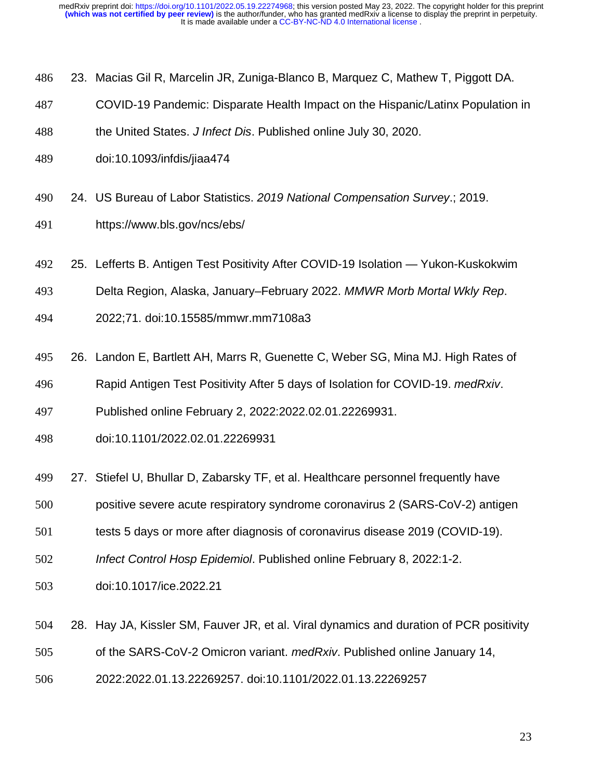- 23. Macias Gil R, Marcelin JR, Zuniga-Blanco B, Marquez C, Mathew T, Piggott DA.
- COVID-19 Pandemic: Disparate Health Impact on the Hispanic/Latinx Population in
- the United States. *J Infect Dis*. Published online July 30, 2020.
- doi:10.1093/infdis/jiaa474
- 24. US Bureau of Labor Statistics. *2019 National Compensation Survey*.; 2019.
- https://www.bls.gov/ncs/ebs/
- 25. Lefferts B. Antigen Test Positivity After COVID-19 Isolation Yukon-Kuskokwim
- Delta Region, Alaska, January–February 2022. *MMWR Morb Mortal Wkly Rep*.
- 2022;71. doi:10.15585/mmwr.mm7108a3
- 26. Landon E, Bartlett AH, Marrs R, Guenette C, Weber SG, Mina MJ. High Rates of
- Rapid Antigen Test Positivity After 5 days of Isolation for COVID-19. *medRxiv*.
- Published online February 2, 2022:2022.02.01.22269931.
- doi:10.1101/2022.02.01.22269931
- 27. Stiefel U, Bhullar D, Zabarsky TF, et al. Healthcare personnel frequently have
- positive severe acute respiratory syndrome coronavirus 2 (SARS-CoV-2) antigen
- tests 5 days or more after diagnosis of coronavirus disease 2019 (COVID-19).
- *Infect Control Hosp Epidemiol*. Published online February 8, 2022:1-2.
- doi:10.1017/ice.2022.21
- 28. Hay JA, Kissler SM, Fauver JR, et al. Viral dynamics and duration of PCR positivity
- of the SARS-CoV-2 Omicron variant. *medRxiv*. Published online January 14,
- 2022:2022.01.13.22269257. doi:10.1101/2022.01.13.22269257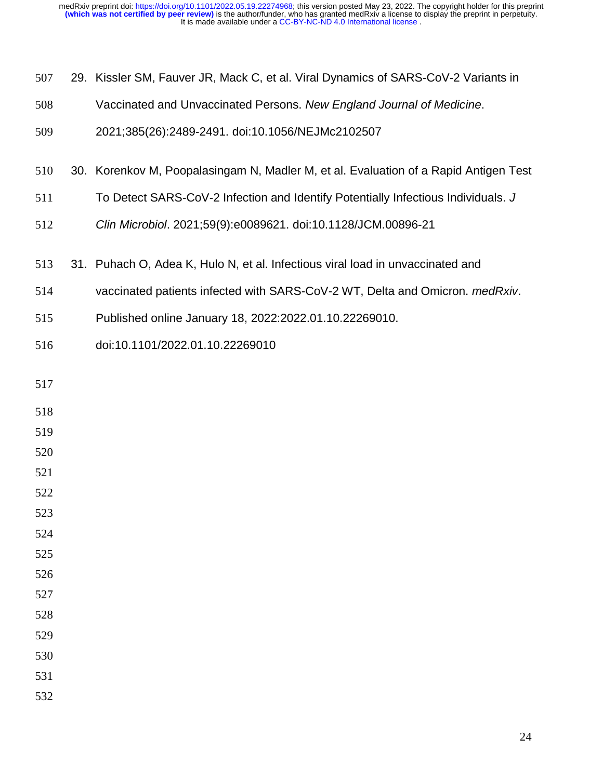- 29. Kissler SM, Fauver JR, Mack C, et al. Viral Dynamics of SARS-CoV-2 Variants in
- Vaccinated and Unvaccinated Persons. *New England Journal of Medicine*.
- 2021;385(26):2489-2491. doi:10.1056/NEJMc2102507
- 30. Korenkov M, Poopalasingam N, Madler M, et al. Evaluation of a Rapid Antigen Test
- To Detect SARS-CoV-2 Infection and Identify Potentially Infectious Individuals. *J*
- *Clin Microbiol*. 2021;59(9):e0089621. doi:10.1128/JCM.00896-21
- 31. Puhach O, Adea K, Hulo N, et al. Infectious viral load in unvaccinated and
- vaccinated patients infected with SARS-CoV-2 WT, Delta and Omicron. *medRxiv*.
- Published online January 18, 2022:2022.01.10.22269010.
- doi:10.1101/2022.01.10.22269010
- 
- 
- 
- 
- 
- 
- 
- 
- 
- 
- 
- 
- 
- 
- 
- 
-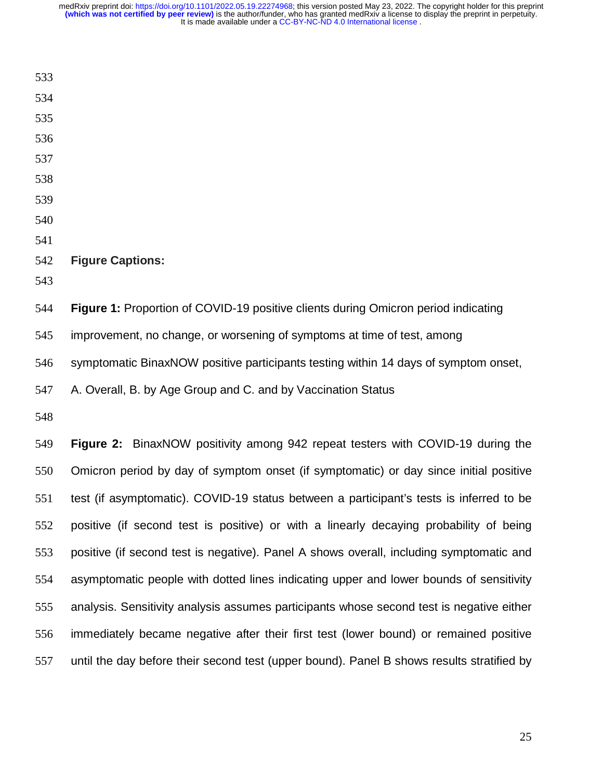| 533 |                                                                                           |
|-----|-------------------------------------------------------------------------------------------|
| 534 |                                                                                           |
| 535 |                                                                                           |
| 536 |                                                                                           |
| 537 |                                                                                           |
| 538 |                                                                                           |
| 539 |                                                                                           |
| 540 |                                                                                           |
| 541 |                                                                                           |
| 542 | <b>Figure Captions:</b>                                                                   |
| 543 |                                                                                           |
| 544 | <b>Figure 1:</b> Proportion of COVID-19 positive clients during Omicron period indicating |
| 545 | improvement, no change, or worsening of symptoms at time of test, among                   |
| 546 | symptomatic BinaxNOW positive participants testing within 14 days of symptom onset,       |
| 547 | A. Overall, B. by Age Group and C. and by Vaccination Status                              |
| 548 |                                                                                           |
| 549 | <b>Figure 2:</b> BinaxNOW positivity among 942 repeat testers with COVID-19 during the    |
| 550 | Omicron period by day of symptom onset (if symptomatic) or day since initial positive     |
| 551 | test (if asymptomatic). COVID-19 status between a participant's tests is inferred to be   |
| 552 | positive (if second test is positive) or with a linearly decaying probability of being    |
| 553 | positive (if second test is negative). Panel A shows overall, including symptomatic and   |
| 554 | asymptomatic people with dotted lines indicating upper and lower bounds of sensitivity    |
| 555 | analysis. Sensitivity analysis assumes participants whose second test is negative either  |
|     |                                                                                           |

until the day before their second test (upper bound). Panel B shows results stratified by

immediately became negative after their first test (lower bound) or remained positive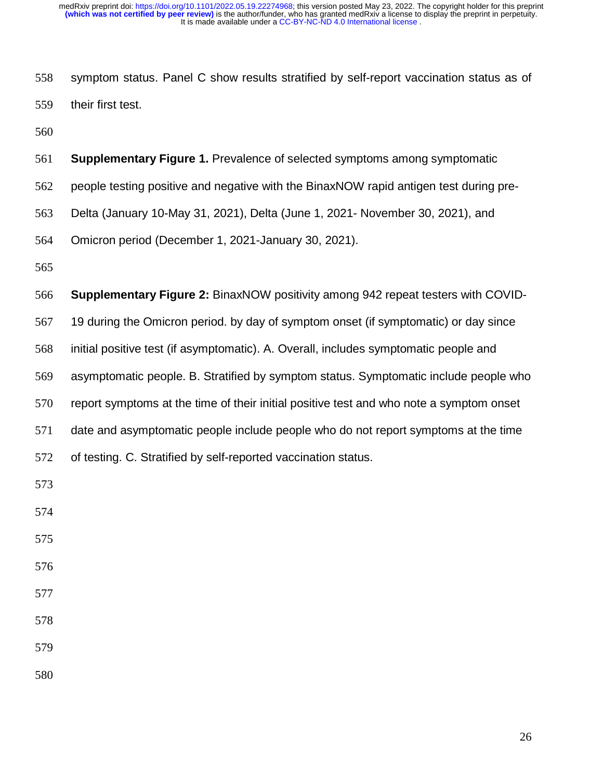| 558 | symptom status. Panel C show results stratified by self-report vaccination status as of |  |
|-----|-----------------------------------------------------------------------------------------|--|
| 559 | their first test.                                                                       |  |

- **Supplementary Figure 1.** Prevalence of selected symptoms among symptomatic
- people testing positive and negative with the BinaxNOW rapid antigen test during pre-
- Delta (January 10-May 31, 2021), Delta (June 1, 2021- November 30, 2021), and
- Omicron period (December 1, 2021-January 30, 2021).

**Supplementary Figure 2:** BinaxNOW positivity among 942 repeat testers with COVID-

19 during the Omicron period. by day of symptom onset (if symptomatic) or day since

initial positive test (if asymptomatic). A. Overall, includes symptomatic people and

asymptomatic people. B. Stratified by symptom status. Symptomatic include people who

report symptoms at the time of their initial positive test and who note a symptom onset

date and asymptomatic people include people who do not report symptoms at the time

of testing. C. Stratified by self-reported vaccination status.

- 
- 
- 
-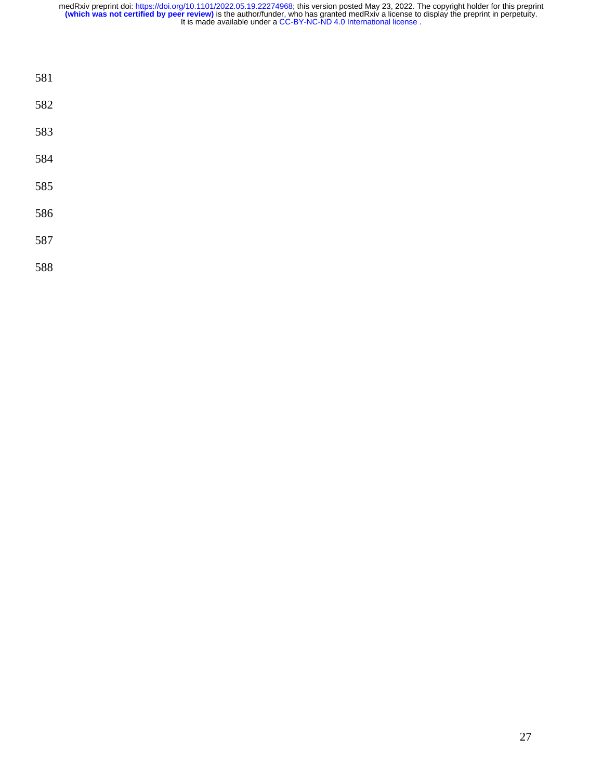- 
-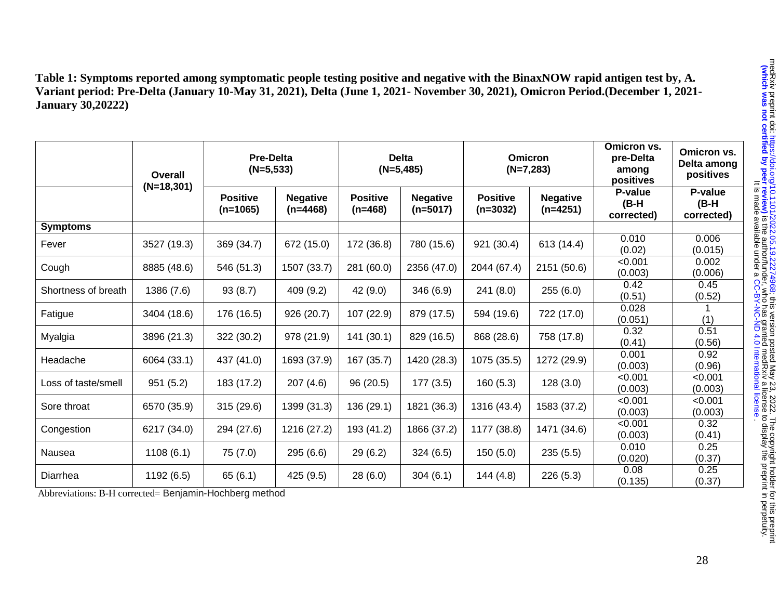**Table 1: Symptoms reported among symptomatic people testing positive and negative with the BinaxNOW rapid antigen test by, A. Variant period: Pre-Delta (January 10-May 31, 2021), Delta (June 1, 2021- November 30, 2021), Omicron Period.(December 1, 2021- January 30,20222)** 

|                     | <b>Overall</b><br>$(N=18,301)$ | <b>Pre-Delta</b><br>$(N=5,533)$ |                               | <b>Delta</b><br>$(N=5, 485)$ |                               | <b>Omicron</b><br>$(N=7,283)$ |                               | Omicron vs.<br>pre-Delta<br>among<br>positives | Omicron vs.<br>Delta among<br>positives |
|---------------------|--------------------------------|---------------------------------|-------------------------------|------------------------------|-------------------------------|-------------------------------|-------------------------------|------------------------------------------------|-----------------------------------------|
|                     |                                | <b>Positive</b><br>$(n=1065)$   | <b>Negative</b><br>$(n=4468)$ | <b>Positive</b><br>$(n=468)$ | <b>Negative</b><br>$(n=5017)$ | <b>Positive</b><br>$(n=3032)$ | <b>Negative</b><br>$(n=4251)$ | P-value<br>$(B-H)$<br>corrected)               | P-value<br>$(B-H)$<br>corrected)        |
| <b>Symptoms</b>     |                                |                                 |                               |                              |                               |                               |                               |                                                |                                         |
| Fever               | 3527 (19.3)                    | 369 (34.7)                      | 672 (15.0)                    | 172 (36.8)                   | 780 (15.6)                    | 921 (30.4)                    | 613 (14.4)                    | 0.010<br>(0.02)                                | 0.006<br>(0.015)                        |
| Cough               | 8885 (48.6)                    | 546 (51.3)                      | 1507 (33.7)                   | 281 (60.0)                   | 2356 (47.0)                   | 2044 (67.4)                   | 2151 (50.6)                   | < 0.001<br>(0.003)                             | 0.002<br>(0.006)                        |
| Shortness of breath | 1386 (7.6)                     | 93(8.7)                         | 409 (9.2)                     | 42 (9.0)                     | 346 (6.9)                     | 241(8.0)                      | 255(6.0)                      | 0.42<br>(0.51)                                 | 0.45<br>(0.52)                          |
| Fatigue             | 3404 (18.6)                    | 176 (16.5)                      | 926 (20.7)                    | 107 (22.9)                   | 879 (17.5)                    | 594 (19.6)                    | 722 (17.0)                    | 0.028<br>(0.051)                               | (1)                                     |
| Myalgia             | 3896 (21.3)                    | 322 (30.2)                      | 978 (21.9)                    | 141 (30.1)                   | 829 (16.5)                    | 868 (28.6)                    | 758 (17.8)                    | 0.32<br>(0.41)                                 | 0.51<br>(0.56)                          |
| Headache            | 6064 (33.1)                    | 437 (41.0)                      | 1693 (37.9)                   | 167 (35.7)                   | 1420 (28.3)                   | 1075 (35.5)                   | 1272 (29.9)                   | 0.001<br>(0.003)                               | 0.92<br>(0.96)                          |
| Loss of taste/smell | 951(5.2)                       | 183 (17.2)                      | 207(4.6)                      | 96(20.5)                     | 177(3.5)                      | 160(5.3)                      | 128(3.0)                      | < 0.001<br>(0.003)                             | < 0.001<br>(0.003)                      |
| Sore throat         | 6570 (35.9)                    | 315(29.6)                       | 1399 (31.3)                   | 136 (29.1)                   | 1821 (36.3)                   | 1316 (43.4)                   | 1583 (37.2)                   | < 0.001<br>(0.003)                             | < 0.001<br>(0.003)                      |
| Congestion          | 6217 (34.0)                    | 294 (27.6)                      | 1216 (27.2)                   | 193 (41.2)                   | 1866 (37.2)                   | 1177 (38.8)                   | 1471 (34.6)                   | < 0.001<br>(0.003)                             | 0.32<br>(0.41)                          |
| Nausea              | 1108(6.1)                      | 75 (7.0)                        | 295 (6.6)                     | 29 (6.2)                     | 324(6.5)                      | 150(5.0)                      | 235(5.5)                      | 0.010<br>(0.020)                               | 0.25<br>(0.37)                          |
| Diarrhea            | 1192(6.5)                      | 65(6.1)                         | 425 (9.5)                     | 28(6.0)                      | 304(6.1)                      | 144(4.8)                      | 226(5.3)                      | 0.08<br>(0.135)                                | 0.25<br>(0.37)                          |

Abbreviations: B-H corrected= Benjamin-Hochberg method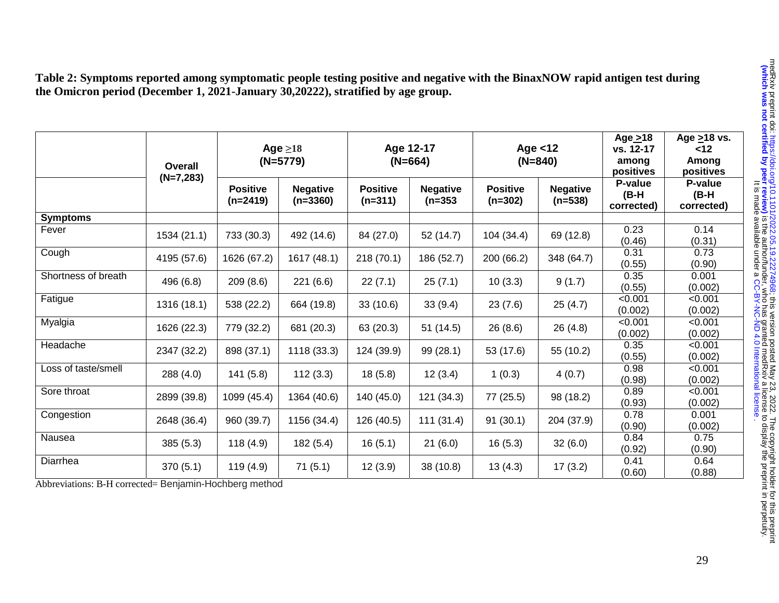| Table 2: Symptoms reported among symptomatic people testing positive and negative with the BinaxNOW rapid antigen test during |
|-------------------------------------------------------------------------------------------------------------------------------|
| the Omicron period (December 1, 2021-January 30,20222), stratified by age group.                                              |

|                     | <b>Overall</b><br>$(N=7,283)$ | Age $\geq$ 18<br>$(N=5779)$   |                               | Age 12-17<br>$(N=664)$       |                              | Age $<$ 12<br>$(N=840)$      |                              | Age $>18$<br>vs. 12-17<br>among<br>positives | Age > 18 vs.<br>$12$<br>Among<br>positives |
|---------------------|-------------------------------|-------------------------------|-------------------------------|------------------------------|------------------------------|------------------------------|------------------------------|----------------------------------------------|--------------------------------------------|
|                     |                               | <b>Positive</b><br>$(n=2419)$ | <b>Negative</b><br>$(n=3360)$ | <b>Positive</b><br>$(n=311)$ | <b>Negative</b><br>$(n=353)$ | <b>Positive</b><br>$(n=302)$ | <b>Negative</b><br>$(n=538)$ | P-value<br>$(B-H)$<br>corrected)             | P-value<br>$(B-H)$<br>corrected)           |
| <b>Symptoms</b>     |                               |                               |                               |                              |                              |                              |                              |                                              |                                            |
| Fever               | 1534 (21.1)                   | 733 (30.3)                    | 492 (14.6)                    | 84 (27.0)                    | 52 (14.7)                    | 104 (34.4)                   | 69 (12.8)                    | 0.23<br>(0.46)                               | 0.14<br>(0.31)                             |
| Cough               | 4195 (57.6)                   | 1626 (67.2)                   | 1617 (48.1)                   | 218(70.1)                    | 186 (52.7)                   | 200 (66.2)                   | 348 (64.7)                   | 0.31<br>(0.55)                               | 0.73<br>(0.90)                             |
| Shortness of breath | 496 (6.8)                     | 209(8.6)                      | 221(6.6)                      | 22(7.1)                      | 25(7.1)                      | 10(3.3)                      | 9(1.7)                       | 0.35<br>(0.55)                               | 0.001<br>(0.002)                           |
| Fatigue             | 1316 (18.1)                   | 538 (22.2)                    | 664 (19.8)                    | 33(10.6)                     | 33(9.4)                      | 23(7.6)                      | 25(4.7)                      | < 0.001<br>(0.002)                           | < 0.001<br>(0.002)                         |
| Myalgia             | 1626 (22.3)                   | 779 (32.2)                    | 681 (20.3)                    | 63 (20.3)                    | 51(14.5)                     | 26(8.6)                      | 26 (4.8)                     | < 0.001<br>(0.002)                           | < 0.001<br>(0.002)                         |
| Headache            | 2347 (32.2)                   | 898 (37.1)                    | 1118 (33.3)                   | 124 (39.9)                   | 99 (28.1)                    | 53 (17.6)                    | 55 (10.2)                    | 0.35<br>(0.55)                               | < 0.001<br>(0.002)                         |
| Loss of taste/smell | 288 (4.0)                     | 141(5.8)                      | 112(3.3)                      | 18(5.8)                      | 12(3.4)                      | 1(0.3)                       | 4(0.7)                       | 0.98<br>(0.98)                               | < 0.001<br>(0.002)                         |
| Sore throat         | 2899 (39.8)                   | 1099 (45.4)                   | 1364 (40.6)                   | 140 (45.0)                   | 121(34.3)                    | 77 (25.5)                    | 98 (18.2)                    | 0.89<br>(0.93)                               | < 0.001<br>(0.002)                         |
| Congestion          | 2648 (36.4)                   | 960 (39.7)                    | 1156 (34.4)                   | 126 (40.5)                   | 111(31.4)                    | 91(30.1)                     | 204 (37.9)                   | 0.78<br>(0.90)                               | 0.001<br>(0.002)                           |
| Nausea              | 385(5.3)                      | 118(4.9)                      | 182(5.4)                      | 16(5.1)                      | 21(6.0)                      | 16(5.3)                      | 32(6.0)                      | 0.84<br>(0.92)                               | 0.75<br>(0.90)                             |
| Diarrhea            | 370(5.1)                      | 119(4.9)                      | 71(5.1)                       | 12(3.9)                      | 38 (10.8)                    | 13(4.3)                      | 17(3.2)                      | 0.41<br>(0.60)                               | 0.64<br>(0.88)                             |

Abbreviations: B-H corrected= Benjamin-Hochberg method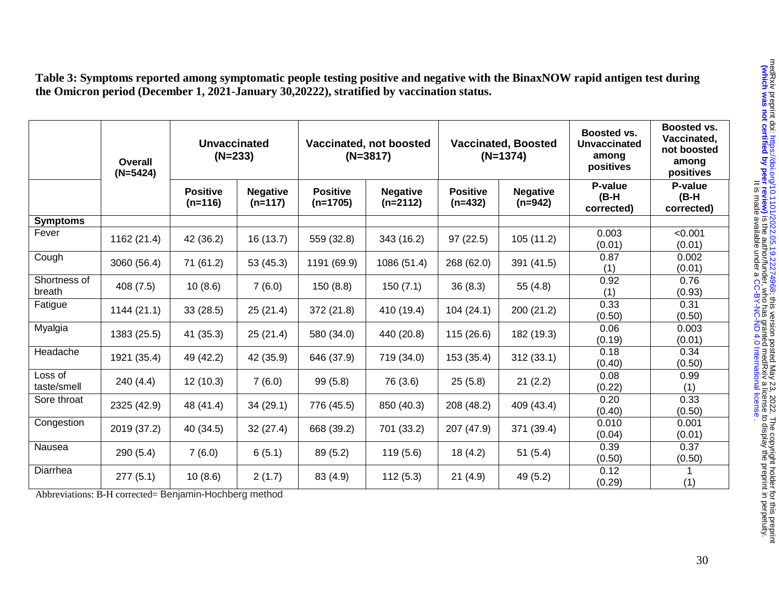**Table 3: Symptoms reported among symptomatic people testing positive and negative with the BinaxNOW rapid antigen test during the Omicron period (December 1, 2021-January 30,20222), stratified by vaccination status.** 

|                        | <b>Overall</b><br>$(N=5424)$ | <b>Unvaccinated</b><br>$(N=233)$ |                              | Vaccinated, not boosted<br>$(N=3817)$ |                               | <b>Vaccinated, Boosted</b><br>$(N=1374)$ |                              | Boosted vs.<br>Unvaccinated<br>among<br>positives | Boosted vs.<br>Vaccinated,<br>not boosted<br>among<br>positives |
|------------------------|------------------------------|----------------------------------|------------------------------|---------------------------------------|-------------------------------|------------------------------------------|------------------------------|---------------------------------------------------|-----------------------------------------------------------------|
|                        |                              | <b>Positive</b><br>$(n=116)$     | <b>Negative</b><br>$(n=117)$ | <b>Positive</b><br>$(n=1705)$         | <b>Negative</b><br>$(n=2112)$ | <b>Positive</b><br>$(n=432)$             | <b>Negative</b><br>$(n=942)$ | P-value<br>$(B-H)$<br>corrected)                  | P-value<br>$(B-H)$<br>corrected)                                |
| <b>Symptoms</b>        |                              |                                  |                              |                                       |                               |                                          |                              |                                                   |                                                                 |
| Fever                  | 1162 (21.4)                  | 42 (36.2)                        | 16(13.7)                     | 559 (32.8)                            | 343 (16.2)                    | 97(22.5)                                 | 105(11.2)                    | 0.003<br>(0.01)                                   | < 0.001<br>(0.01)                                               |
| Cough                  | 3060 (56.4)                  | 71 (61.2)                        | 53 (45.3)                    | 1191 (69.9)                           | 1086 (51.4)                   | 268 (62.0)                               | 391 (41.5)                   | 0.87<br>(1)                                       | 0.002<br>(0.01)                                                 |
| Shortness of<br>breath | 408 (7.5)                    | 10(8.6)                          | 7(6.0)                       | 150(8.8)                              | 150(7.1)                      | 36(8.3)                                  | 55 (4.8)                     | 0.92<br>(1)                                       | 0.76<br>(0.93)                                                  |
| Fatigue                | 1144(21.1)                   | 33(28.5)                         | 25(21.4)                     | 372 (21.8)                            | 410 (19.4)                    | 104(24.1)                                | 200 (21.2)                   | 0.33<br>(0.50)                                    | 0.31<br>(0.50)                                                  |
| Myalgia                | 1383 (25.5)                  | 41 (35.3)                        | 25(21.4)                     | 580 (34.0)                            | 440 (20.8)                    | 115(26.6)                                | 182 (19.3)                   | 0.06<br>(0.19)                                    | 0.003<br>(0.01)                                                 |
| Headache               | 1921 (35.4)                  | 49 (42.2)                        | 42 (35.9)                    | 646 (37.9)                            | 719 (34.0)                    | 153 (35.4)                               | 312 (33.1)                   | 0.18<br>(0.40)                                    | 0.34<br>(0.50)                                                  |
| Loss of<br>taste/smell | 240 (4.4)                    | 12(10.3)                         | 7(6.0)                       | 99 (5.8)                              | 76 (3.6)                      | 25(5.8)                                  | 21(2.2)                      | 0.08<br>(0.22)                                    | 0.99<br>(1)                                                     |
| Sore throat            | 2325 (42.9)                  | 48 (41.4)                        | 34(29.1)                     | 776 (45.5)                            | 850 (40.3)                    | 208 (48.2)                               | 409 (43.4)                   | 0.20<br>(0.40)                                    | 0.33<br>(0.50)                                                  |
| Congestion             | 2019 (37.2)                  | 40 (34.5)                        | 32(27.4)                     | 668 (39.2)                            | 701 (33.2)                    | 207 (47.9)                               | 371 (39.4)                   | 0.010<br>(0.04)                                   | 0.001<br>(0.01)                                                 |
| Nausea                 | 290(5.4)                     | 7(6.0)                           | 6(5.1)                       | 89 (5.2)                              | 119(5.6)                      | 18(4.2)                                  | 51(5.4)                      | 0.39<br>(0.50)                                    | 0.37<br>(0.50)                                                  |
| Diarrhea               | 277(5.1)                     | 10(8.6)                          | 2(1.7)                       | 83 (4.9)                              | 112(5.3)                      | 21(4.9)                                  | 49 (5.2)                     | 0.12<br>(0.29)                                    | (1)                                                             |

Abbreviations: B-H corrected= Benjamin-Hochberg method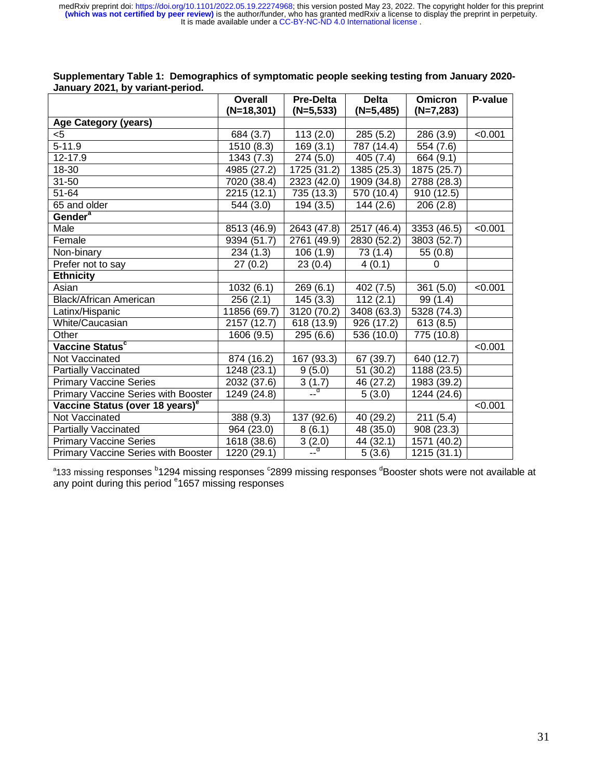|                                             | <b>Overall</b> | <b>Pre-Delta</b> | <b>Delta</b> | <b>Omicron</b> | P-value |
|---------------------------------------------|----------------|------------------|--------------|----------------|---------|
|                                             | $(N=18, 301)$  | $(N=5,533)$      | $(N=5, 485)$ | $(N=7,283)$    |         |
| <b>Age Category (years)</b>                 |                |                  |              |                |         |
| $<$ 5                                       | 684 (3.7)      | 113(2.0)         | 285(5.2)     | 286 (3.9)      | < 0.001 |
| $5 - 11.9$                                  | 1510 (8.3)     | 169(3.1)         | 787 (14.4)   | 554 (7.6)      |         |
| 12-17.9                                     | 1343(7.3)      | 274(5.0)         | 405 (7.4)    | 664 (9.1)      |         |
| 18-30                                       | 4985 (27.2)    | 1725 (31.2)      | 1385 (25.3)  | 1875 (25.7)    |         |
| $31 - 50$                                   | 7020 (38.4)    | 2323 (42.0)      | 1909 (34.8)  | 2788 (28.3)    |         |
| 51-64                                       | 2215 (12.1)    | 735 (13.3)       | 570 (10.4)   | 910 (12.5)     |         |
| 65 and older                                | 544 (3.0)      | 194(3.5)         | 144(2.6)     | 206(2.8)       |         |
| Gender <sup>a</sup>                         |                |                  |              |                |         |
| Male                                        | 8513 (46.9)    | 2643 (47.8)      | 2517 (46.4)  | 3353 (46.5)    | < 0.001 |
| Female                                      | 9394 (51.7)    | 2761 (49.9)      | 2830 (52.2)  | 3803 (52.7)    |         |
| Non-binary                                  | 234(1.3)       | 106(1.9)         | 73 (1.4)     | 55 (0.8)       |         |
| Prefer not to say                           | 27(0.2)        | 23(0.4)          | 4(0.1)       | 0              |         |
| <b>Ethnicity</b>                            |                |                  |              |                |         |
| Asian                                       | 1032(6.1)      | 269(6.1)         | 402 (7.5)    | 361(5.0)       | < 0.001 |
| <b>Black/African American</b>               | 256(2.1)       | 145(3.3)         | 112(2.1)     | 99(1.4)        |         |
| Latinx/Hispanic                             | 11856 (69.7)   | 3120 (70.2)      | 3408 (63.3)  | 5328 (74.3)    |         |
| White/Caucasian                             | 2157 (12.7)    | 618 (13.9)       | 926 (17.2)   | 613(8.5)       |         |
| Other                                       | 1606 (9.5)     | 295 (6.6)        | 536 (10.0)   | 775 (10.8)     |         |
| Vaccine Status <sup>c</sup>                 |                |                  |              |                | < 0.001 |
| Not Vaccinated                              | 874 (16.2)     | 167 (93.3)       | 67 (39.7)    | 640 (12.7)     |         |
| Partially Vaccinated                        | 1248 (23.1)    | 9(5.0)           | 51 (30.2)    | 1188 (23.5)    |         |
| <b>Primary Vaccine Series</b>               | 2032 (37.6)    | 3(1.7)           | 46 (27.2)    | 1983 (39.2)    |         |
| Primary Vaccine Series with Booster         | 1249 (24.8)    | $\frac{1}{2}$    | 5(3.0)       | 1244 (24.6)    |         |
| Vaccine Status (over 18 years) <sup>e</sup> |                |                  |              |                | < 0.001 |
| Not Vaccinated                              | 388 (9.3)      | 137 (92.6)       | 40 (29.2)    | 211(5.4)       |         |
| Partially Vaccinated                        | 964 (23.0)     | 8(6.1)           | 48 (35.0)    | 908 (23.3)     |         |
| <b>Primary Vaccine Series</b>               | 1618 (38.6)    | 3(2.0)           | 44 (32.1)    | 1571 (40.2)    |         |
| Primary Vaccine Series with Booster         | 1220 (29.1)    | $\overline{a}$   | 5(3.6)       | 1215 (31.1)    |         |

**Supplementary Table 1: Demographics of symptomatic people seeking testing from January 2020- January 2021, by variant-period.** 

<sup>a</sup>133 missing responses <sup>b</sup>1294 missing responses <sup>c</sup>2899 missing responses <sup>d</sup>Booster shots were not available at any point during this period <sup>e</sup>1657 missing responses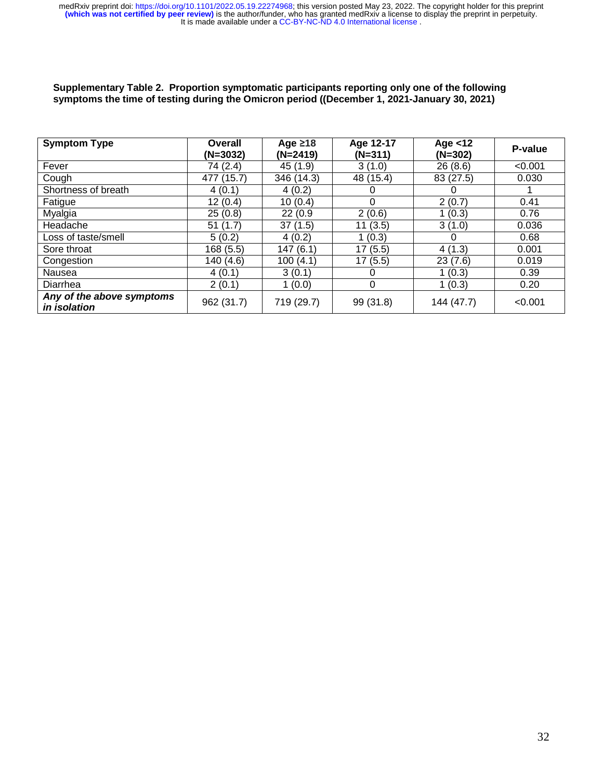| <b>Symptom Type</b>                       | Overall<br>$(N=3032)$ | Age $\geq$ 18<br>$(N=2419)$ | Age 12-17<br>$(N=311)$ | Age $<$ 12<br>$(N=302)$ | P-value |
|-------------------------------------------|-----------------------|-----------------------------|------------------------|-------------------------|---------|
| Fever                                     | 74 (2.4)              | 45(1.9)                     | 3(1.0)                 | 26(8.6)                 | < 0.001 |
| Cough                                     | 477 (15.7)            | 346 (14.3)                  | 48 (15.4)              | 83 (27.5)               | 0.030   |
| Shortness of breath                       | 4(0.1)                | 4(0.2)                      | O                      | U                       |         |
| Fatigue                                   | 12(0.4)               | 10(0.4)                     | $\Omega$               | 2(0.7)                  | 0.41    |
| Myalgia                                   | 25(0.8)               | 22 (0.9                     | 2(0.6)                 | 1(0.3)                  | 0.76    |
| Headache                                  | 51(1.7)               | 37(1.5)                     | 11(3.5)                | 3(1.0)                  | 0.036   |
| Loss of taste/smell                       | 5(0.2)                | 4(0.2)                      | 1(0.3)                 |                         | 0.68    |
| Sore throat                               | 168 (5.5)             | 147(6.1)                    | 17(5.5)                | 4(1.3)                  | 0.001   |
| Congestion                                | 140 (4.6)             | 100(4.1)                    | 17(5.5)                | 23(7.6)                 | 0.019   |
| Nausea                                    | 4(0.1)                | 3(0.1)                      | 0                      | 1(0.3)                  | 0.39    |
| Diarrhea                                  | 2(0.1)                | 1(0.0)                      | 0                      | 1(0.3)                  | 0.20    |
| Any of the above symptoms<br>in isolation | 962 (31.7)            | 719 (29.7)                  | 99 (31.8)              | 144 (47.7)              | < 0.001 |

#### **Supplementary Table 2. Proportion symptomatic participants reporting only one of the following symptoms the time of testing during the Omicron period ((December 1, 2021-January 30, 2021)**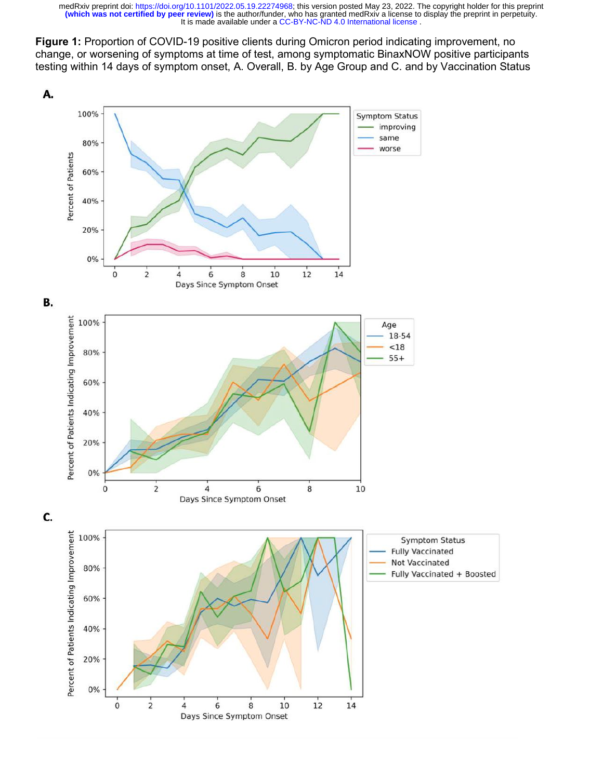**Figure 1:** Proportion of COVID-19 positive clients during Omicron period indicating improvement, no change, or worsening of symptoms at time of test, among symptomatic BinaxNOW positive participants testing within 14 days of symptom onset, A. Overall, B. by Age Group and C. and by Vaccination Status